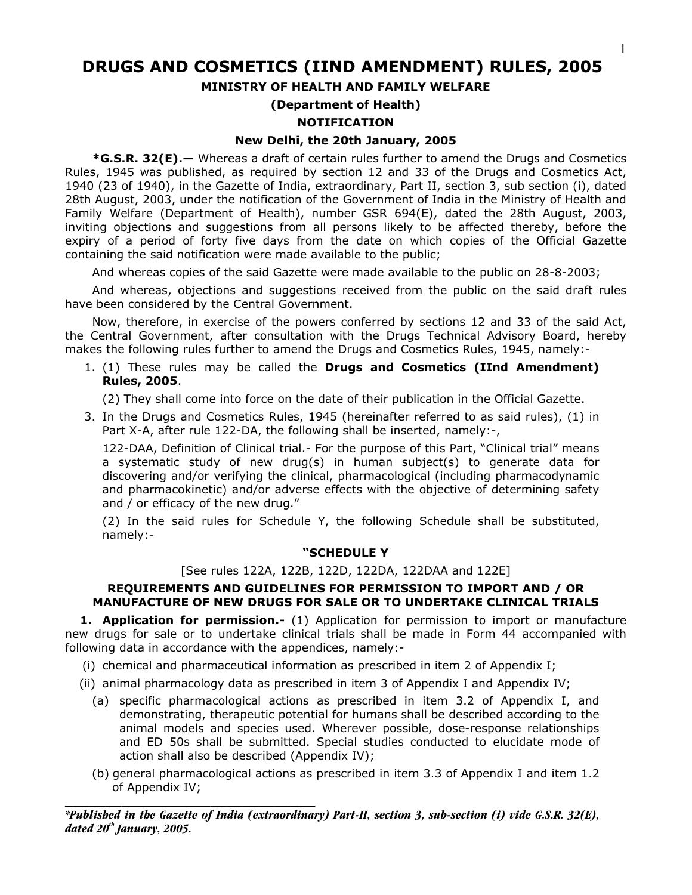# **DRUGS AND COSMETICS (IIND AMENDMENT) RULES, 2005**

## **MINISTRY OF HEALTH AND FAMILY WELFARE**

**(Department of Health)** 

#### **NOTIFICATION**

#### **New Delhi, the 20th January, 2005**

 **\*G.S.R. 32(E).—** Whereas a draft of certain rules further to amend the Drugs and Cosmetics Rules, 1945 was published, as required by section 12 and 33 of the Drugs and Cosmetics Act, 1940 (23 of 1940), in the Gazette of India, extraordinary, Part II, section 3, sub section (i), dated 28th August, 2003, under the notification of the Government of India in the Ministry of Health and Family Welfare (Department of Health), number GSR 694(E), dated the 28th August, 2003, inviting objections and suggestions from all persons likely to be affected thereby, before the expiry of a period of forty five days from the date on which copies of the Official Gazette containing the said notification were made available to the public;

And whereas copies of the said Gazette were made available to the public on 28-8-2003;

 And whereas, objections and suggestions received from the public on the said draft rules have been considered by the Central Government.

 Now, therefore, in exercise of the powers conferred by sections 12 and 33 of the said Act, the Central Government, after consultation with the Drugs Technical Advisory Board, hereby makes the following rules further to amend the Drugs and Cosmetics Rules, 1945, namely:-

 1. (1) These rules may be called the **Drugs and Cosmetics (IInd Amendment) Rules, 2005**.

(2) They shall come into force on the date of their publication in the Official Gazette.

 3. In the Drugs and Cosmetics Rules, 1945 (hereinafter referred to as said rules), (1) in Part X-A, after rule 122-DA, the following shall be inserted, namely:-,

 122-DAA, Definition of Clinical trial.- For the purpose of this Part, "Clinical trial" means a systematic study of new drug(s) in human subject(s) to generate data for discovering and/or verifying the clinical, pharmacological (including pharmacodynamic and pharmacokinetic) and/or adverse effects with the objective of determining safety and / or efficacy of the new drug."

 (2) In the said rules for Schedule Y, the following Schedule shall be substituted, namely:-

## **"SCHEDULE Y**

[See rules 122A, 122B, 122D, 122DA, 122DAA and 122E]

## **REQUIREMENTS AND GUIDELINES FOR PERMISSION TO IMPORT AND / OR MANUFACTURE OF NEW DRUGS FOR SALE OR TO UNDERTAKE CLINICAL TRIALS**

**1. Application for permission.-** (1) Application for permission to import or manufacture new drugs for sale or to undertake clinical trials shall be made in Form 44 accompanied with following data in accordance with the appendices, namely:-

(i) chemical and pharmaceutical information as prescribed in item 2 of Appendix I;

- (ii) animal pharmacology data as prescribed in item 3 of Appendix I and Appendix IV;
	- (a) specific pharmacological actions as prescribed in item 3.2 of Appendix I, and demonstrating, therapeutic potential for humans shall be described according to the animal models and species used. Wherever possible, dose-response relationships and ED 50s shall be submitted. Special studies conducted to elucidate mode of action shall also be described (Appendix IV);
	- (b) general pharmacological actions as prescribed in item 3.3 of Appendix I and item 1.2 of Appendix IV;

*\*Published in the Gazette of India (extraordinary) Part-II, section 3, sub-section (i) vide G.S.R. 32(E), dated 20th January, 2005.*

**\_\_\_\_\_\_\_\_\_\_\_\_\_\_\_\_\_\_\_\_\_\_\_\_\_\_\_\_\_\_\_**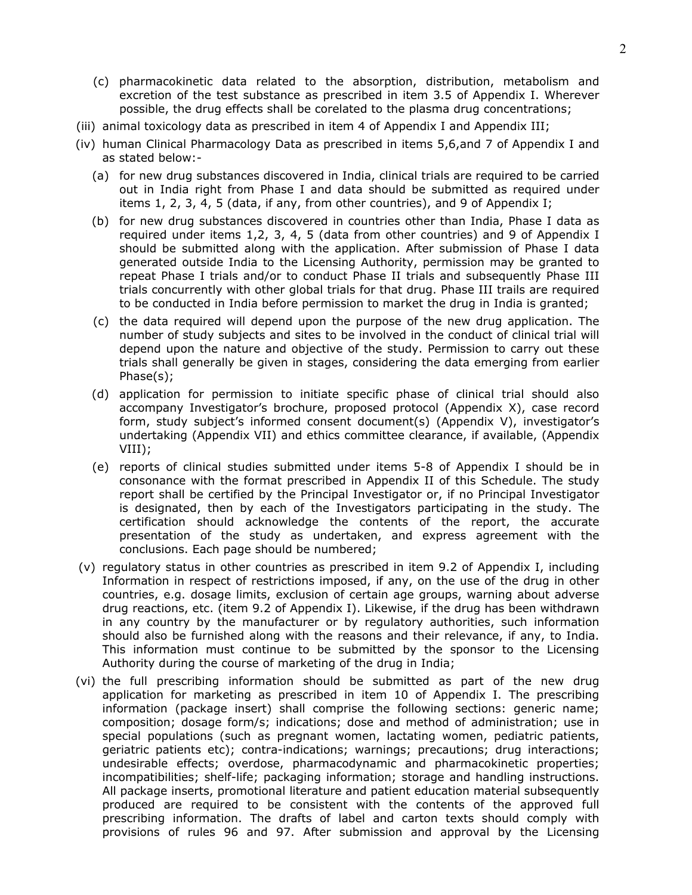- (c) pharmacokinetic data related to the absorption, distribution, metabolism and excretion of the test substance as prescribed in item 3.5 of Appendix I. Wherever possible, the drug effects shall be corelated to the plasma drug concentrations;
- (iii) animal toxicology data as prescribed in item 4 of Appendix I and Appendix III;
- (iv) human Clinical Pharmacology Data as prescribed in items 5,6,and 7 of Appendix I and as stated below:-
	- (a) for new drug substances discovered in India, clinical trials are required to be carried out in India right from Phase I and data should be submitted as required under items 1, 2, 3, 4, 5 (data, if any, from other countries), and 9 of Appendix I;
	- (b) for new drug substances discovered in countries other than India, Phase I data as required under items 1,2, 3, 4, 5 (data from other countries) and 9 of Appendix I should be submitted along with the application. After submission of Phase I data generated outside India to the Licensing Authority, permission may be granted to repeat Phase I trials and/or to conduct Phase II trials and subsequently Phase III trials concurrently with other global trials for that drug. Phase III trails are required to be conducted in India before permission to market the drug in India is granted;
	- (c) the data required will depend upon the purpose of the new drug application. The number of study subjects and sites to be involved in the conduct of clinical trial will depend upon the nature and objective of the study. Permission to carry out these trials shall generally be given in stages, considering the data emerging from earlier Phase(s);
	- (d) application for permission to initiate specific phase of clinical trial should also accompany Investigator's brochure, proposed protocol (Appendix X), case record form, study subject's informed consent document(s) (Appendix V), investigator's undertaking (Appendix VII) and ethics committee clearance, if available, (Appendix VIII);
	- (e) reports of clinical studies submitted under items 5-8 of Appendix I should be in consonance with the format prescribed in Appendix II of this Schedule. The study report shall be certified by the Principal Investigator or, if no Principal Investigator is designated, then by each of the Investigators participating in the study. The certification should acknowledge the contents of the report, the accurate presentation of the study as undertaken, and express agreement with the conclusions. Each page should be numbered;
- (v) regulatory status in other countries as prescribed in item 9.2 of Appendix I, including Information in respect of restrictions imposed, if any, on the use of the drug in other countries, e.g. dosage limits, exclusion of certain age groups, warning about adverse drug reactions, etc. (item 9.2 of Appendix I). Likewise, if the drug has been withdrawn in any country by the manufacturer or by regulatory authorities, such information should also be furnished along with the reasons and their relevance, if any, to India. This information must continue to be submitted by the sponsor to the Licensing Authority during the course of marketing of the drug in India;
- (vi) the full prescribing information should be submitted as part of the new drug application for marketing as prescribed in item 10 of Appendix I. The prescribing information (package insert) shall comprise the following sections: generic name; composition; dosage form/s; indications; dose and method of administration; use in special populations (such as pregnant women, lactating women, pediatric patients, geriatric patients etc); contra-indications; warnings; precautions; drug interactions; undesirable effects; overdose, pharmacodynamic and pharmacokinetic properties; incompatibilities; shelf-life; packaging information; storage and handling instructions. All package inserts, promotional literature and patient education material subsequently produced are required to be consistent with the contents of the approved full prescribing information. The drafts of label and carton texts should comply with provisions of rules 96 and 97. After submission and approval by the Licensing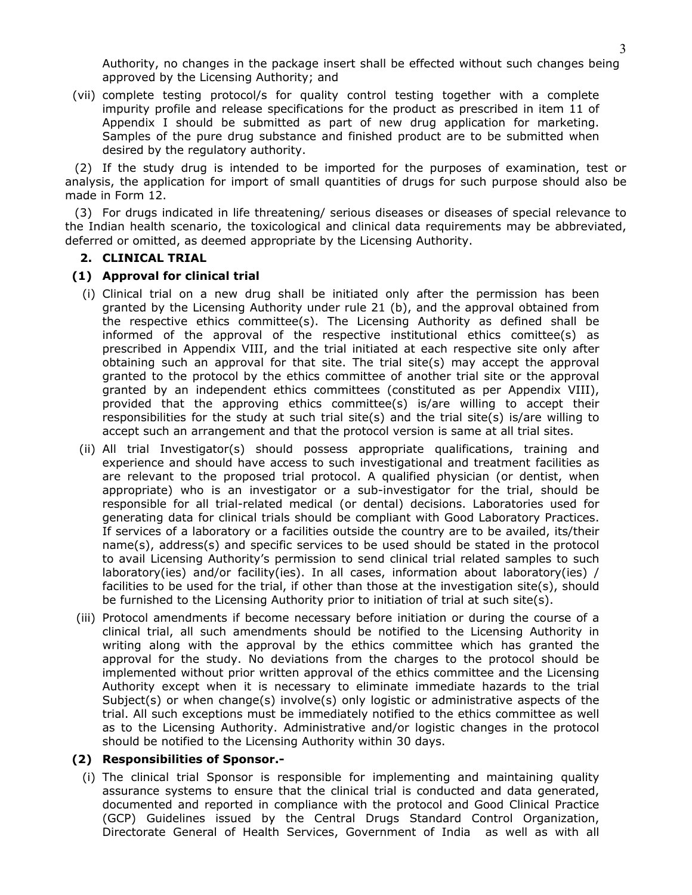Authority, no changes in the package insert shall be effected without such changes being approved by the Licensing Authority; and

 (vii) complete testing protocol/s for quality control testing together with a complete impurity profile and release specifications for the product as prescribed in item 11 of Appendix I should be submitted as part of new drug application for marketing. Samples of the pure drug substance and finished product are to be submitted when desired by the regulatory authority.

 (2) If the study drug is intended to be imported for the purposes of examination, test or analysis, the application for import of small quantities of drugs for such purpose should also be made in Form 12.

 (3) For drugs indicated in life threatening/ serious diseases or diseases of special relevance to the Indian health scenario, the toxicological and clinical data requirements may be abbreviated, deferred or omitted, as deemed appropriate by the Licensing Authority.

# **2. CLINICAL TRIAL**

# **(1) Approval for clinical trial**

- (i) Clinical trial on a new drug shall be initiated only after the permission has been granted by the Licensing Authority under rule 21 (b), and the approval obtained from the respective ethics committee(s). The Licensing Authority as defined shall be informed of the approval of the respective institutional ethics comittee(s) as prescribed in Appendix VIII, and the trial initiated at each respective site only after obtaining such an approval for that site. The trial site(s) may accept the approval granted to the protocol by the ethics committee of another trial site or the approval granted by an independent ethics committees (constituted as per Appendix VIII), provided that the approving ethics committee(s) is/are willing to accept their responsibilities for the study at such trial site(s) and the trial site(s) is/are willing to accept such an arrangement and that the protocol version is same at all trial sites.
- (ii) All trial Investigator(s) should possess appropriate qualifications, training and experience and should have access to such investigational and treatment facilities as are relevant to the proposed trial protocol. A qualified physician (or dentist, when appropriate) who is an investigator or a sub-investigator for the trial, should be responsible for all trial-related medical (or dental) decisions. Laboratories used for generating data for clinical trials should be compliant with Good Laboratory Practices. If services of a laboratory or a facilities outside the country are to be availed, its/their name(s), address(s) and specific services to be used should be stated in the protocol to avail Licensing Authority's permission to send clinical trial related samples to such laboratory(ies) and/or facility(ies). In all cases, information about laboratory(ies) / facilities to be used for the trial, if other than those at the investigation site(s), should be furnished to the Licensing Authority prior to initiation of trial at such site(s).
- (iii) Protocol amendments if become necessary before initiation or during the course of a clinical trial, all such amendments should be notified to the Licensing Authority in writing along with the approval by the ethics committee which has granted the approval for the study. No deviations from the charges to the protocol should be implemented without prior written approval of the ethics committee and the Licensing Authority except when it is necessary to eliminate immediate hazards to the trial Subject(s) or when change(s) involve(s) only logistic or administrative aspects of the trial. All such exceptions must be immediately notified to the ethics committee as well as to the Licensing Authority. Administrative and/or logistic changes in the protocol should be notified to the Licensing Authority within 30 days.

## **(2) Responsibilities of Sponsor.-**

 (i) The clinical trial Sponsor is responsible for implementing and maintaining quality assurance systems to ensure that the clinical trial is conducted and data generated, documented and reported in compliance with the protocol and Good Clinical Practice (GCP) Guidelines issued by the Central Drugs Standard Control Organization, Directorate General of Health Services, Government of India as well as with all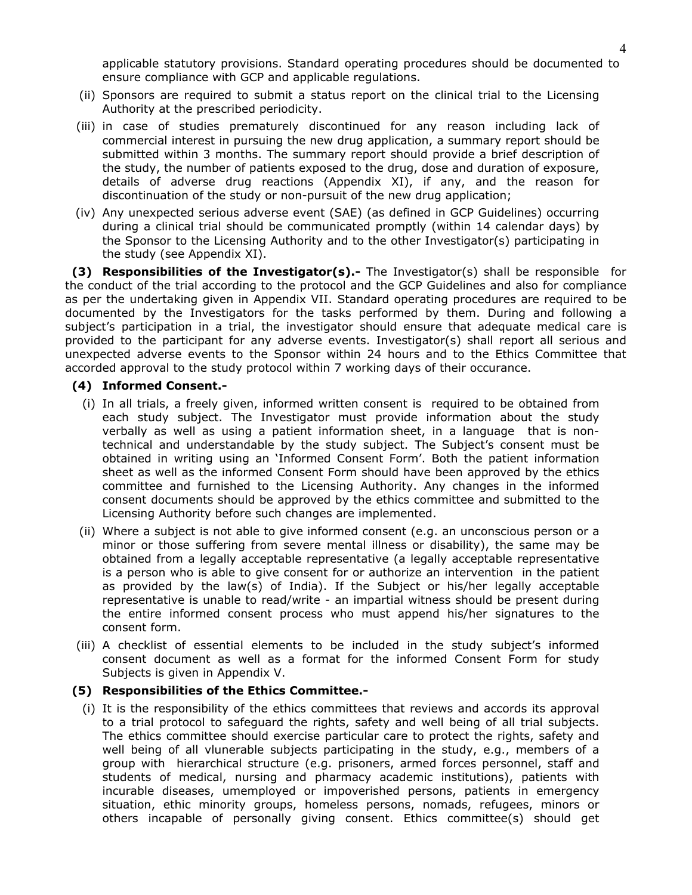applicable statutory provisions. Standard operating procedures should be documented to ensure compliance with GCP and applicable regulations.

- (ii) Sponsors are required to submit a status report on the clinical trial to the Licensing Authority at the prescribed periodicity.
- (iii) in case of studies prematurely discontinued for any reason including lack of commercial interest in pursuing the new drug application, a summary report should be submitted within 3 months. The summary report should provide a brief description of the study, the number of patients exposed to the drug, dose and duration of exposure, details of adverse drug reactions (Appendix XI), if any, and the reason for discontinuation of the study or non-pursuit of the new drug application;
- (iv) Any unexpected serious adverse event (SAE) (as defined in GCP Guidelines) occurring during a clinical trial should be communicated promptly (within 14 calendar days) by the Sponsor to the Licensing Authority and to the other Investigator(s) participating in the study (see Appendix XI).

 **(3) Responsibilities of the Investigator(s).-** The Investigator(s) shall be responsible for the conduct of the trial according to the protocol and the GCP Guidelines and also for compliance as per the undertaking given in Appendix VII. Standard operating procedures are required to be documented by the Investigators for the tasks performed by them. During and following a subject's participation in a trial, the investigator should ensure that adequate medical care is provided to the participant for any adverse events. Investigator(s) shall report all serious and unexpected adverse events to the Sponsor within 24 hours and to the Ethics Committee that accorded approval to the study protocol within 7 working days of their occurance.

#### **(4) Informed Consent.-**

- (i) In all trials, a freely given, informed written consent is required to be obtained from each study subject. The Investigator must provide information about the study verbally as well as using a patient information sheet, in a language that is nontechnical and understandable by the study subject. The Subject's consent must be obtained in writing using an 'Informed Consent Form'. Both the patient information sheet as well as the informed Consent Form should have been approved by the ethics committee and furnished to the Licensing Authority. Any changes in the informed consent documents should be approved by the ethics committee and submitted to the Licensing Authority before such changes are implemented.
- (ii) Where a subject is not able to give informed consent (e.g. an unconscious person or a minor or those suffering from severe mental illness or disability), the same may be obtained from a legally acceptable representative (a legally acceptable representative is a person who is able to give consent for or authorize an intervention in the patient as provided by the law(s) of India). If the Subject or his/her legally acceptable representative is unable to read/write - an impartial witness should be present during the entire informed consent process who must append his/her signatures to the consent form.
- (iii) A checklist of essential elements to be included in the study subject's informed consent document as well as a format for the informed Consent Form for study Subjects is given in Appendix V.

## **(5) Responsibilities of the Ethics Committee.-**

 (i) It is the responsibility of the ethics committees that reviews and accords its approval to a trial protocol to safeguard the rights, safety and well being of all trial subjects. The ethics committee should exercise particular care to protect the rights, safety and well being of all vlunerable subjects participating in the study, e.g., members of a group with hierarchical structure (e.g. prisoners, armed forces personnel, staff and students of medical, nursing and pharmacy academic institutions), patients with incurable diseases, umemployed or impoverished persons, patients in emergency situation, ethic minority groups, homeless persons, nomads, refugees, minors or others incapable of personally giving consent. Ethics committee(s) should get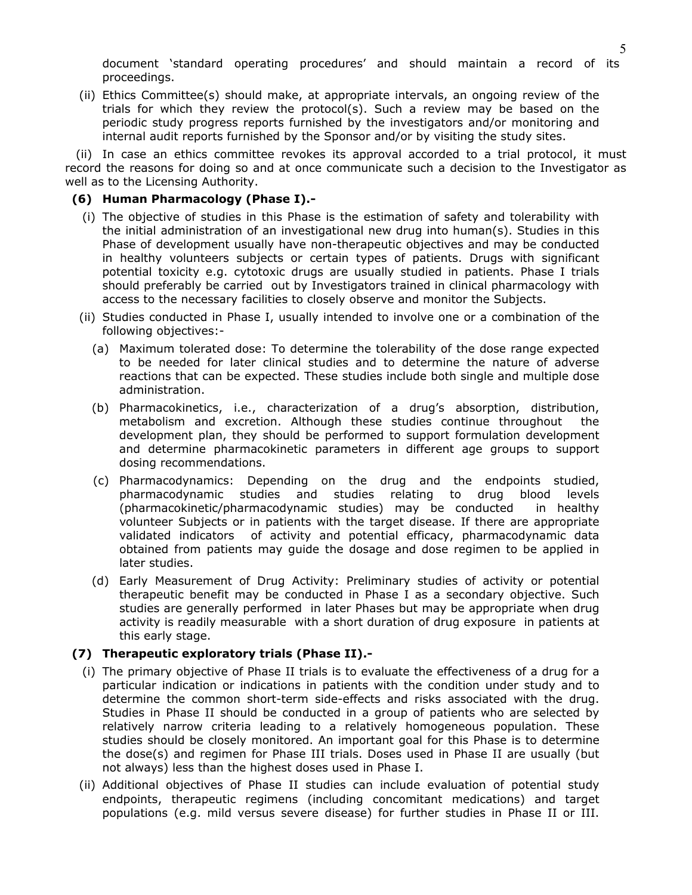document 'standard operating procedures' and should maintain a record of its proceedings.

 (ii) Ethics Committee(s) should make, at appropriate intervals, an ongoing review of the trials for which they review the protocol(s). Such a review may be based on the periodic study progress reports furnished by the investigators and/or monitoring and internal audit reports furnished by the Sponsor and/or by visiting the study sites.

 (ii) In case an ethics committee revokes its approval accorded to a trial protocol, it must record the reasons for doing so and at once communicate such a decision to the Investigator as well as to the Licensing Authority.

# **(6) Human Pharmacology (Phase I).-**

- (i) The objective of studies in this Phase is the estimation of safety and tolerability with the initial administration of an investigational new drug into human(s). Studies in this Phase of development usually have non-therapeutic objectives and may be conducted in healthy volunteers subjects or certain types of patients. Drugs with significant potential toxicity e.g. cytotoxic drugs are usually studied in patients. Phase I trials should preferably be carried out by Investigators trained in clinical pharmacology with access to the necessary facilities to closely observe and monitor the Subjects.
- (ii) Studies conducted in Phase I, usually intended to involve one or a combination of the following objectives:-
	- (a) Maximum tolerated dose: To determine the tolerability of the dose range expected to be needed for later clinical studies and to determine the nature of adverse reactions that can be expected. These studies include both single and multiple dose administration.
	- (b) Pharmacokinetics, i.e., characterization of a drug's absorption, distribution, metabolism and excretion. Although these studies continue throughout the development plan, they should be performed to support formulation development and determine pharmacokinetic parameters in different age groups to support dosing recommendations.
	- (c) Pharmacodynamics: Depending on the drug and the endpoints studied, pharmacodynamic studies and studies relating to drug blood levels (pharmacokinetic/pharmacodynamic studies) may be conducted in healthy volunteer Subjects or in patients with the target disease. If there are appropriate validated indicators of activity and potential efficacy, pharmacodynamic data obtained from patients may guide the dosage and dose regimen to be applied in later studies.
	- (d) Early Measurement of Drug Activity: Preliminary studies of activity or potential therapeutic benefit may be conducted in Phase I as a secondary objective. Such studies are generally performed in later Phases but may be appropriate when drug activity is readily measurable with a short duration of drug exposure in patients at this early stage.

## **(7) Therapeutic exploratory trials (Phase II).-**

- (i) The primary objective of Phase II trials is to evaluate the effectiveness of a drug for a particular indication or indications in patients with the condition under study and to determine the common short-term side-effects and risks associated with the drug. Studies in Phase II should be conducted in a group of patients who are selected by relatively narrow criteria leading to a relatively homogeneous population. These studies should be closely monitored. An important goal for this Phase is to determine the dose(s) and regimen for Phase III trials. Doses used in Phase II are usually (but not always) less than the highest doses used in Phase I.
- (ii) Additional objectives of Phase II studies can include evaluation of potential study endpoints, therapeutic regimens (including concomitant medications) and target populations (e.g. mild versus severe disease) for further studies in Phase II or III.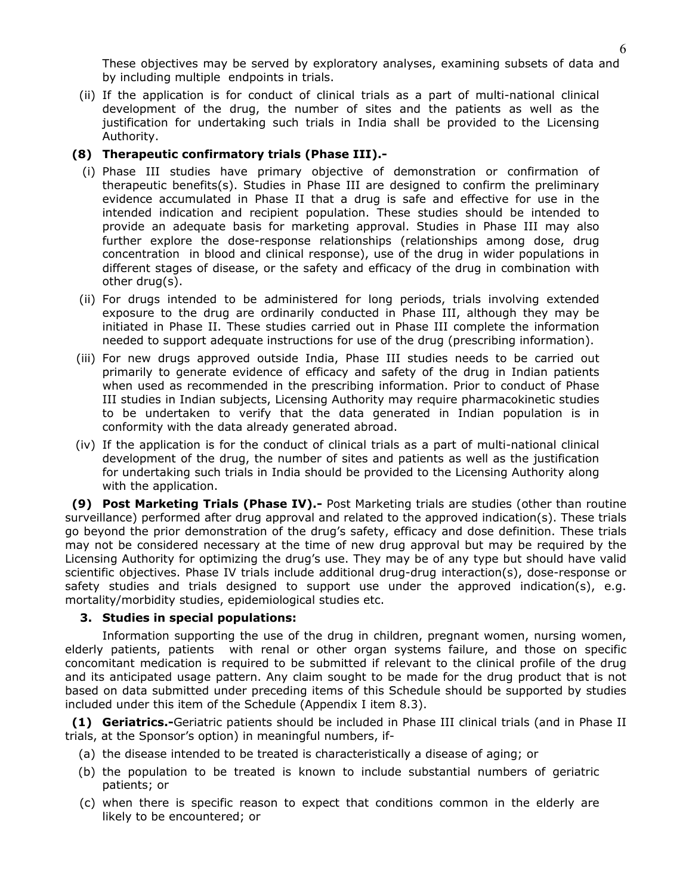These objectives may be served by exploratory analyses, examining subsets of data and by including multiple endpoints in trials.

 (ii) If the application is for conduct of clinical trials as a part of multi-national clinical development of the drug, the number of sites and the patients as well as the justification for undertaking such trials in India shall be provided to the Licensing Authority.

#### **(8) Therapeutic confirmatory trials (Phase III).-**

- (i) Phase III studies have primary objective of demonstration or confirmation of therapeutic benefits(s). Studies in Phase III are designed to confirm the preliminary evidence accumulated in Phase II that a drug is safe and effective for use in the intended indication and recipient population. These studies should be intended to provide an adequate basis for marketing approval. Studies in Phase III may also further explore the dose-response relationships (relationships among dose, drug concentration in blood and clinical response), use of the drug in wider populations in different stages of disease, or the safety and efficacy of the drug in combination with other drug(s).
- (ii) For drugs intended to be administered for long periods, trials involving extended exposure to the drug are ordinarily conducted in Phase III, although they may be initiated in Phase II. These studies carried out in Phase III complete the information needed to support adequate instructions for use of the drug (prescribing information).
- (iii) For new drugs approved outside India, Phase III studies needs to be carried out primarily to generate evidence of efficacy and safety of the drug in Indian patients when used as recommended in the prescribing information. Prior to conduct of Phase III studies in Indian subjects, Licensing Authority may require pharmacokinetic studies to be undertaken to verify that the data generated in Indian population is in conformity with the data already generated abroad.
- (iv) If the application is for the conduct of clinical trials as a part of multi-national clinical development of the drug, the number of sites and patients as well as the justification for undertaking such trials in India should be provided to the Licensing Authority along with the application.

 **(9) Post Marketing Trials (Phase IV).-** Post Marketing trials are studies (other than routine surveillance) performed after drug approval and related to the approved indication(s). These trials go beyond the prior demonstration of the drug's safety, efficacy and dose definition. These trials may not be considered necessary at the time of new drug approval but may be required by the Licensing Authority for optimizing the drug's use. They may be of any type but should have valid scientific objectives. Phase IV trials include additional drug-drug interaction(s), dose-response or safety studies and trials designed to support use under the approved indication(s), e.g. mortality/morbidity studies, epidemiological studies etc.

#### **3. Studies in special populations:**

 Information supporting the use of the drug in children, pregnant women, nursing women, elderly patients, patients with renal or other organ systems failure, and those on specific concomitant medication is required to be submitted if relevant to the clinical profile of the drug and its anticipated usage pattern. Any claim sought to be made for the drug product that is not based on data submitted under preceding items of this Schedule should be supported by studies included under this item of the Schedule (Appendix I item 8.3).

 **(1) Geriatrics.-**Geriatric patients should be included in Phase III clinical trials (and in Phase II trials, at the Sponsor's option) in meaningful numbers, if-

- (a) the disease intended to be treated is characteristically a disease of aging; or
- (b) the population to be treated is known to include substantial numbers of geriatric patients; or
- (c) when there is specific reason to expect that conditions common in the elderly are likely to be encountered; or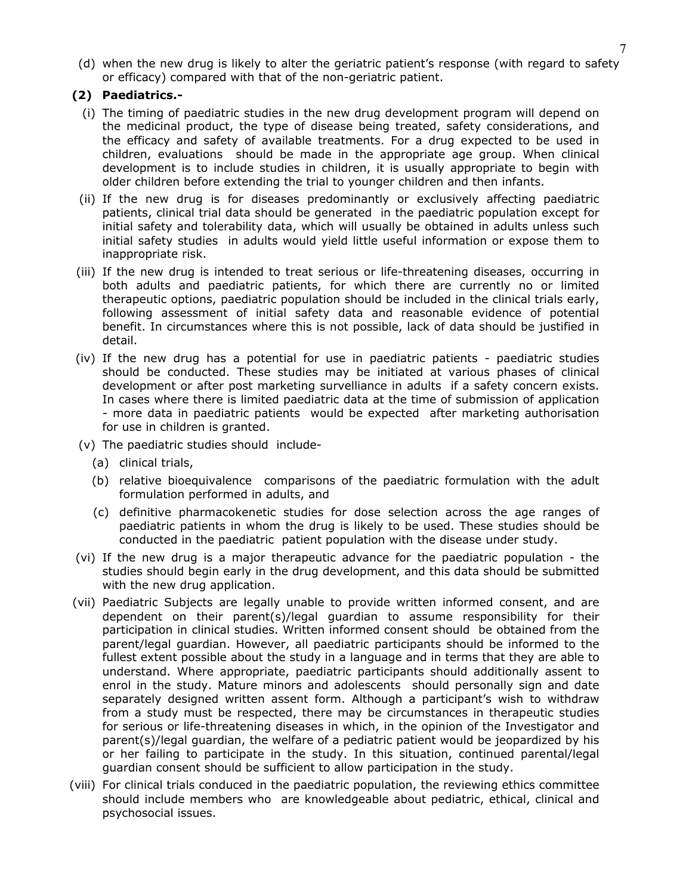(d) when the new drug is likely to alter the geriatric patient's response (with regard to safety or efficacy) compared with that of the non-geriatric patient.

# **(2) Paediatrics.-**

- (i) The timing of paediatric studies in the new drug development program will depend on the medicinal product, the type of disease being treated, safety considerations, and the efficacy and safety of available treatments. For a drug expected to be used in children, evaluations should be made in the appropriate age group. When clinical development is to include studies in children, it is usually appropriate to begin with older children before extending the trial to younger children and then infants.
- (ii) If the new drug is for diseases predominantly or exclusively affecting paediatric patients, clinical trial data should be generated in the paediatric population except for initial safety and tolerability data, which will usually be obtained in adults unless such initial safety studies in adults would yield little useful information or expose them to inappropriate risk.
- (iii) If the new drug is intended to treat serious or life-threatening diseases, occurring in both adults and paediatric patients, for which there are currently no or limited therapeutic options, paediatric population should be included in the clinical trials early, following assessment of initial safety data and reasonable evidence of potential benefit. In circumstances where this is not possible, lack of data should be justified in detail.
- (iv) If the new drug has a potential for use in paediatric patients paediatric studies should be conducted. These studies may be initiated at various phases of clinical development or after post marketing survelliance in adults if a safety concern exists. In cases where there is limited paediatric data at the time of submission of application - more data in paediatric patients would be expected after marketing authorisation for use in children is granted.
- (v) The paediatric studies should include-
	- (a) clinical trials,
	- (b) relative bioequivalence comparisons of the paediatric formulation with the adult formulation performed in adults, and
	- (c) definitive pharmacokenetic studies for dose selection across the age ranges of paediatric patients in whom the drug is likely to be used. These studies should be conducted in the paediatric patient population with the disease under study.
- (vi) If the new drug is a major therapeutic advance for the paediatric population the studies should begin early in the drug development, and this data should be submitted with the new drug application.
- (vii) Paediatric Subjects are legally unable to provide written informed consent, and are dependent on their parent(s)/legal guardian to assume responsibility for their participation in clinical studies. Written informed consent should be obtained from the parent/legal guardian. However, all paediatric participants should be informed to the fullest extent possible about the study in a language and in terms that they are able to understand. Where appropriate, paediatric participants should additionally assent to enrol in the study. Mature minors and adolescents should personally sign and date separately designed written assent form. Although a participant's wish to withdraw from a study must be respected, there may be circumstances in therapeutic studies for serious or life-threatening diseases in which, in the opinion of the Investigator and parent(s)/legal guardian, the welfare of a pediatric patient would be jeopardized by his or her failing to participate in the study. In this situation, continued parental/legal guardian consent should be sufficient to allow participation in the study.
- (viii) For clinical trials conduced in the paediatric population, the reviewing ethics committee should include members who are knowledgeable about pediatric, ethical, clinical and psychosocial issues.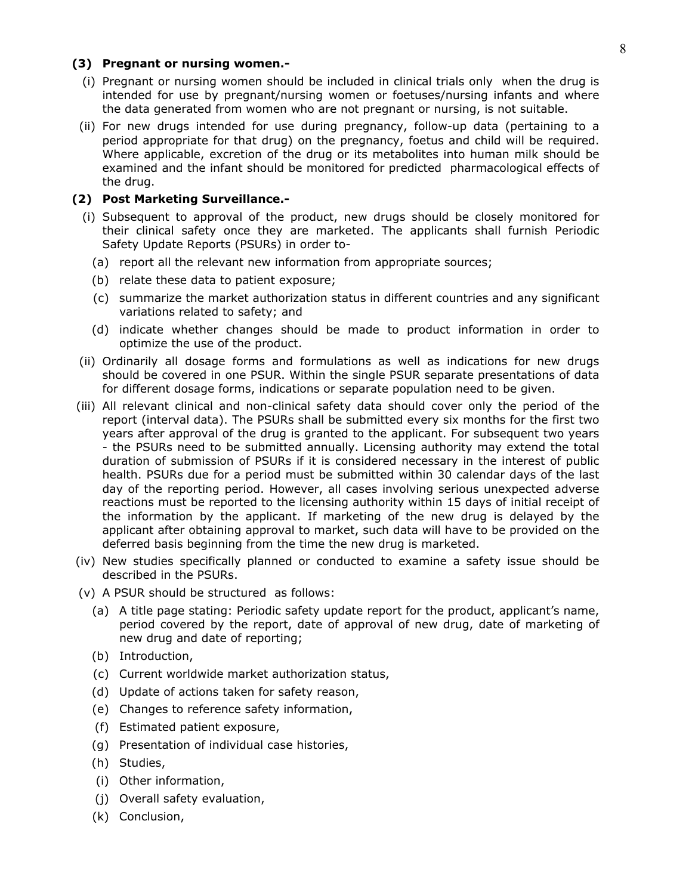#### **(3) Pregnant or nursing women.-**

- (i) Pregnant or nursing women should be included in clinical trials only when the drug is intended for use by pregnant/nursing women or foetuses/nursing infants and where the data generated from women who are not pregnant or nursing, is not suitable.
- (ii) For new drugs intended for use during pregnancy, follow-up data (pertaining to a period appropriate for that drug) on the pregnancy, foetus and child will be required. Where applicable, excretion of the drug or its metabolites into human milk should be examined and the infant should be monitored for predicted pharmacological effects of the drug.

## **(2) Post Marketing Surveillance.-**

- (i) Subsequent to approval of the product, new drugs should be closely monitored for their clinical safety once they are marketed. The applicants shall furnish Periodic Safety Update Reports (PSURs) in order to-
	- (a) report all the relevant new information from appropriate sources;
	- (b) relate these data to patient exposure;
	- (c) summarize the market authorization status in different countries and any significant variations related to safety; and
	- (d) indicate whether changes should be made to product information in order to optimize the use of the product.
- (ii) Ordinarily all dosage forms and formulations as well as indications for new drugs should be covered in one PSUR. Within the single PSUR separate presentations of data for different dosage forms, indications or separate population need to be given.
- (iii) All relevant clinical and non-clinical safety data should cover only the period of the report (interval data). The PSURs shall be submitted every six months for the first two years after approval of the drug is granted to the applicant. For subsequent two years - the PSURs need to be submitted annually. Licensing authority may extend the total duration of submission of PSURs if it is considered necessary in the interest of public health. PSURs due for a period must be submitted within 30 calendar days of the last day of the reporting period. However, all cases involving serious unexpected adverse reactions must be reported to the licensing authority within 15 days of initial receipt of the information by the applicant. If marketing of the new drug is delayed by the applicant after obtaining approval to market, such data will have to be provided on the deferred basis beginning from the time the new drug is marketed.
- (iv) New studies specifically planned or conducted to examine a safety issue should be described in the PSURs.
- (v) A PSUR should be structured as follows:
	- (a) A title page stating: Periodic safety update report for the product, applicant's name, period covered by the report, date of approval of new drug, date of marketing of new drug and date of reporting;
	- (b) Introduction,
	- (c) Current worldwide market authorization status,
	- (d) Update of actions taken for safety reason,
	- (e) Changes to reference safety information,
	- (f) Estimated patient exposure,
	- (g) Presentation of individual case histories,
	- (h) Studies,
	- (i) Other information,
	- (j) Overall safety evaluation,
	- (k) Conclusion,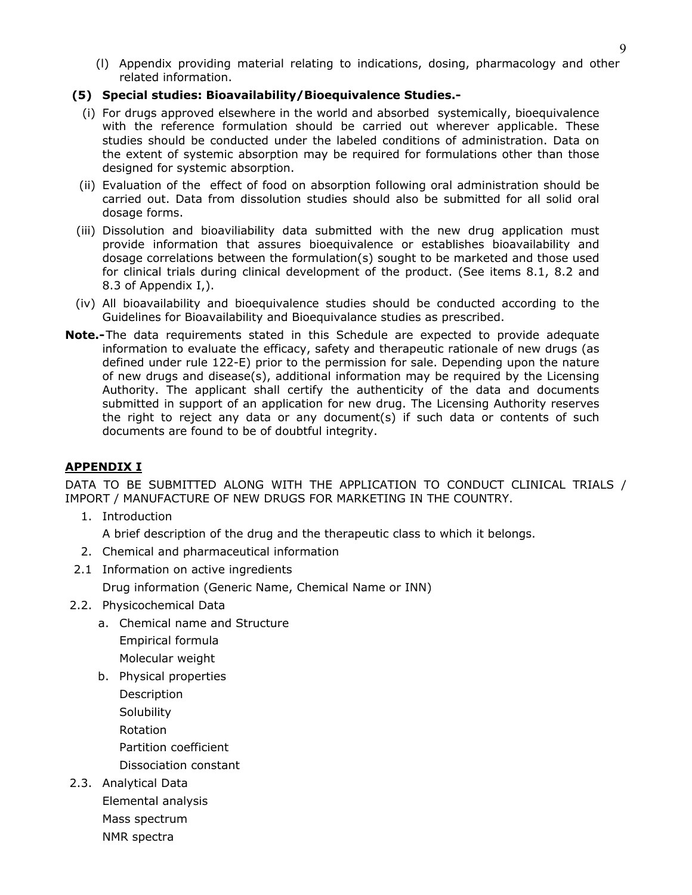(l) Appendix providing material relating to indications, dosing, pharmacology and other related information.

# **(5) Special studies: Bioavailability/Bioequivalence Studies.-**

- (i) For drugs approved elsewhere in the world and absorbed systemically, bioequivalence with the reference formulation should be carried out wherever applicable. These studies should be conducted under the labeled conditions of administration. Data on the extent of systemic absorption may be required for formulations other than those designed for systemic absorption.
- (ii) Evaluation of the effect of food on absorption following oral administration should be carried out. Data from dissolution studies should also be submitted for all solid oral dosage forms.
- (iii) Dissolution and bioaviliability data submitted with the new drug application must provide information that assures bioequivalence or establishes bioavailability and dosage correlations between the formulation(s) sought to be marketed and those used for clinical trials during clinical development of the product. (See items 8.1, 8.2 and 8.3 of Appendix I,).
- (iv) All bioavailability and bioequivalence studies should be conducted according to the Guidelines for Bioavailability and Bioequivalance studies as prescribed.
- **Note.-** The data requirements stated in this Schedule are expected to provide adequate information to evaluate the efficacy, safety and therapeutic rationale of new drugs (as defined under rule 122-E) prior to the permission for sale. Depending upon the nature of new drugs and disease(s), additional information may be required by the Licensing Authority. The applicant shall certify the authenticity of the data and documents submitted in support of an application for new drug. The Licensing Authority reserves the right to reject any data or any document(s) if such data or contents of such documents are found to be of doubtful integrity.

## **APPENDIX I**

DATA TO BE SUBMITTED ALONG WITH THE APPLICATION TO CONDUCT CLINICAL TRIALS / IMPORT / MANUFACTURE OF NEW DRUGS FOR MARKETING IN THE COUNTRY.

1. Introduction

A brief description of the drug and the therapeutic class to which it belongs.

- 2. Chemical and pharmaceutical information
- 2.1 Information on active ingredients

Drug information (Generic Name, Chemical Name or INN)

- 2.2. Physicochemical Data
	- a. Chemical name and Structure Empirical formula Molecular weight
	- b. Physical properties Description
		- **Solubility**

Rotation

- Partition coefficient
- Dissociation constant
- 2.3. Analytical Data

Elemental analysis

Mass spectrum

NMR spectra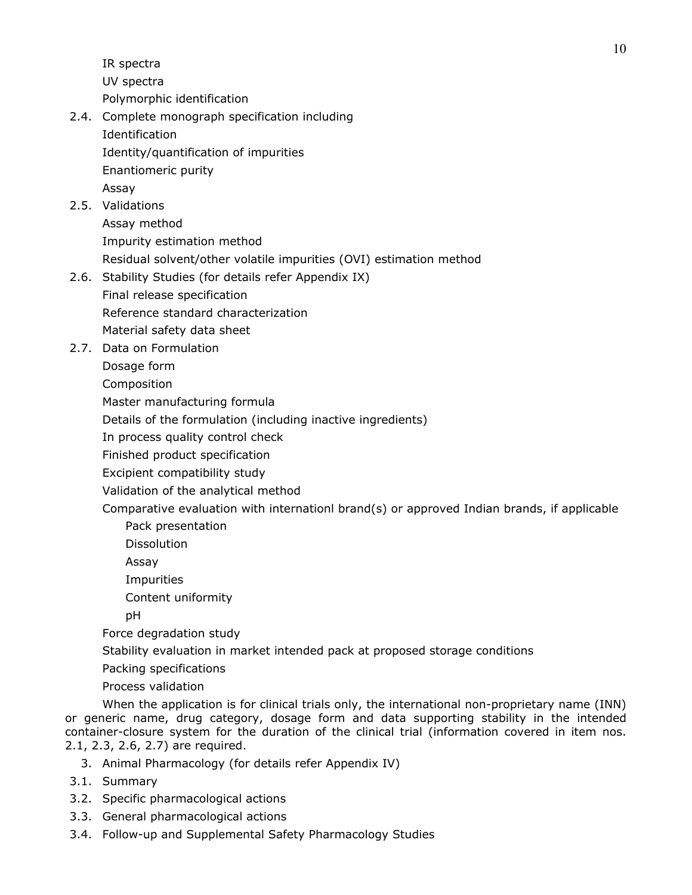- IR spectra
- UV spectra

Polymorphic identification

- 2.4. Complete monograph specification including Identification Identity/quantification of impurities Enantiomeric purity Assay
- 2.5. Validations Assay method Impurity estimation method Residual solvent/other volatile impurities (OVI) estimation method
- 2.6. Stability Studies (for details refer Appendix IX) Final release specification Reference standard characterization Material safety data sheet
- 2.7. Data on Formulation
	- Dosage form
	- Composition
	- Master manufacturing formula
	- Details of the formulation (including inactive ingredients)
	- In process quality control check
	- Finished product specification
	- Excipient compatibility study
	- Validation of the analytical method
	- Comparative evaluation with internationl brand(s) or approved Indian brands, if applicable
		- Pack presentation
		- Dissolution
		- Assay
		- Impurities
		- Content uniformity
		- pH
	- Force degradation study
	- Stability evaluation in market intended pack at proposed storage conditions
	- Packing specifications
	- Process validation
- When the application is for clinical trials only, the international non-proprietary name (INN) or generic name, drug category, dosage form and data supporting stability in the intended container-closure system for the duration of the clinical trial (information covered in item nos. 2.1, 2.3, 2.6, 2.7) are required.
	- 3. Animal Pharmacology (for details refer Appendix IV)
- 3.1. Summary
- 3.2. Specific pharmacological actions
- 3.3. General pharmacological actions
- 3.4. Follow-up and Supplemental Safety Pharmacology Studies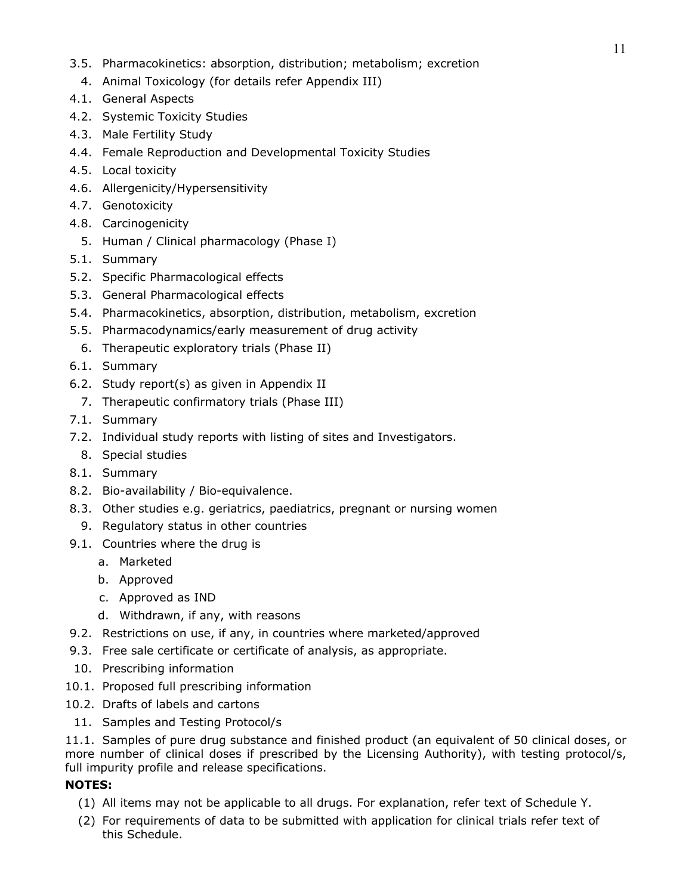- 3.5. Pharmacokinetics: absorption, distribution; metabolism; excretion
	- 4. Animal Toxicology (for details refer Appendix III)
- 4.1. General Aspects
- 4.2. Systemic Toxicity Studies
- 4.3. Male Fertility Study
- 4.4. Female Reproduction and Developmental Toxicity Studies
- 4.5. Local toxicity
- 4.6. Allergenicity/Hypersensitivity
- 4.7. Genotoxicity
- 4.8. Carcinogenicity
	- 5. Human / Clinical pharmacology (Phase I)
- 5.1. Summary
- 5.2. Specific Pharmacological effects
- 5.3. General Pharmacological effects
- 5.4. Pharmacokinetics, absorption, distribution, metabolism, excretion
- 5.5. Pharmacodynamics/early measurement of drug activity
	- 6. Therapeutic exploratory trials (Phase II)
- 6.1. Summary
- 6.2. Study report(s) as given in Appendix II
	- 7. Therapeutic confirmatory trials (Phase III)
- 7.1. Summary
- 7.2. Individual study reports with listing of sites and Investigators.
	- 8. Special studies
- 8.1. Summary
- 8.2. Bio-availability / Bio-equivalence.
- 8.3. Other studies e.g. geriatrics, paediatrics, pregnant or nursing women
	- 9. Regulatory status in other countries
- 9.1. Countries where the drug is
	- a. Marketed
	- b. Approved
	- c. Approved as IND
	- d. Withdrawn, if any, with reasons
- 9.2. Restrictions on use, if any, in countries where marketed/approved
- 9.3. Free sale certificate or certificate of analysis, as appropriate.
- 10. Prescribing information
- 10.1. Proposed full prescribing information
- 10.2. Drafts of labels and cartons
	- 11. Samples and Testing Protocol/s

11.1. Samples of pure drug substance and finished product (an equivalent of 50 clinical doses, or more number of clinical doses if prescribed by the Licensing Authority), with testing protocol/s, full impurity profile and release specifications.

# **NOTES:**

- (1) All items may not be applicable to all drugs. For explanation, refer text of Schedule Y.
- (2) For requirements of data to be submitted with application for clinical trials refer text of this Schedule.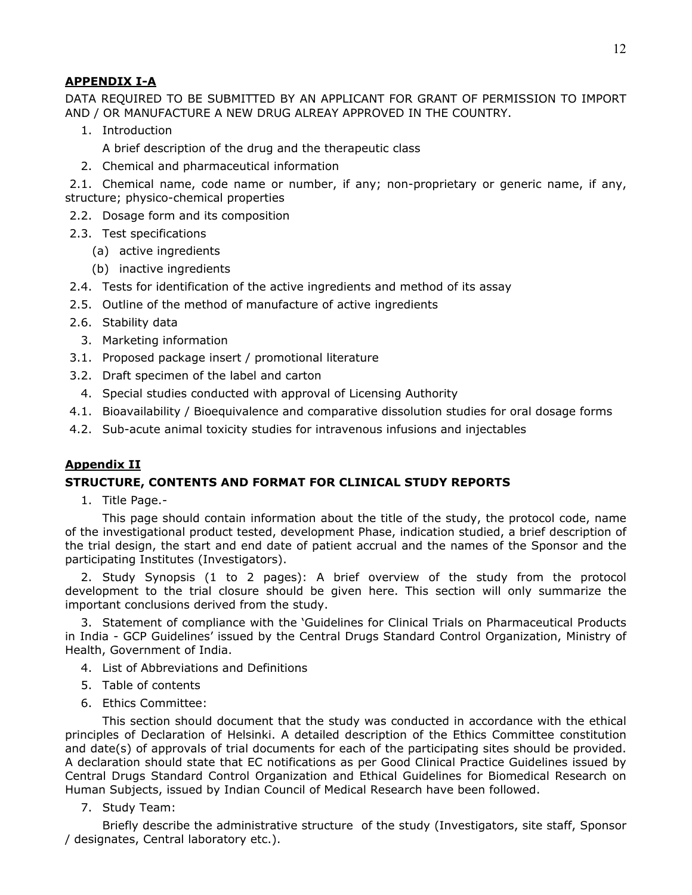# **APPENDIX I-A**

DATA REQUIRED TO BE SUBMITTED BY AN APPLICANT FOR GRANT OF PERMISSION TO IMPORT AND / OR MANUFACTURE A NEW DRUG ALREAY APPROVED IN THE COUNTRY.

1. Introduction

A brief description of the drug and the therapeutic class

2. Chemical and pharmaceutical information

 2.1. Chemical name, code name or number, if any; non-proprietary or generic name, if any, structure; physico-chemical properties

- 2.2. Dosage form and its composition
- 2.3. Test specifications
	- (a) active ingredients
	- (b) inactive ingredients
- 2.4. Tests for identification of the active ingredients and method of its assay
- 2.5. Outline of the method of manufacture of active ingredients
- 2.6. Stability data
	- 3. Marketing information
- 3.1. Proposed package insert / promotional literature
- 3.2. Draft specimen of the label and carton
	- 4. Special studies conducted with approval of Licensing Authority
- 4.1. Bioavailability / Bioequivalence and comparative dissolution studies for oral dosage forms
- 4.2. Sub-acute animal toxicity studies for intravenous infusions and injectables

# **Appendix II STRUCTURE, CONTENTS AND FORMAT FOR CLINICAL STUDY REPORTS**

1. Title Page.-

 This page should contain information about the title of the study, the protocol code, name of the investigational product tested, development Phase, indication studied, a brief description of the trial design, the start and end date of patient accrual and the names of the Sponsor and the participating Institutes (Investigators).

 2. Study Synopsis (1 to 2 pages): A brief overview of the study from the protocol development to the trial closure should be given here. This section will only summarize the important conclusions derived from the study.

 3. Statement of compliance with the 'Guidelines for Clinical Trials on Pharmaceutical Products in India - GCP Guidelines' issued by the Central Drugs Standard Control Organization, Ministry of Health, Government of India.

- 4. List of Abbreviations and Definitions
- 5. Table of contents
- 6. Ethics Committee:

 This section should document that the study was conducted in accordance with the ethical principles of Declaration of Helsinki. A detailed description of the Ethics Committee constitution and date(s) of approvals of trial documents for each of the participating sites should be provided. A declaration should state that EC notifications as per Good Clinical Practice Guidelines issued by Central Drugs Standard Control Organization and Ethical Guidelines for Biomedical Research on Human Subjects, issued by Indian Council of Medical Research have been followed.

## 7. Study Team:

 Briefly describe the administrative structure of the study (Investigators, site staff, Sponsor / designates, Central laboratory etc.).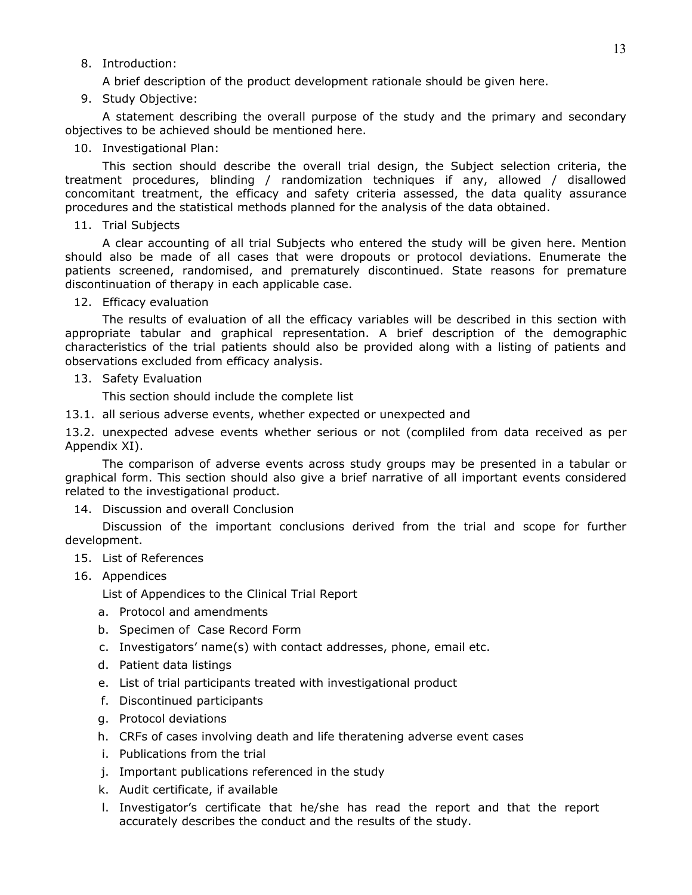## 8. Introduction:

A brief description of the product development rationale should be given here.

9. Study Objective:

 A statement describing the overall purpose of the study and the primary and secondary objectives to be achieved should be mentioned here.

10. Investigational Plan:

 This section should describe the overall trial design, the Subject selection criteria, the treatment procedures, blinding / randomization techniques if any, allowed / disallowed concomitant treatment, the efficacy and safety criteria assessed, the data quality assurance procedures and the statistical methods planned for the analysis of the data obtained.

11. Trial Subjects

 A clear accounting of all trial Subjects who entered the study will be given here. Mention should also be made of all cases that were dropouts or protocol deviations. Enumerate the patients screened, randomised, and prematurely discontinued. State reasons for premature discontinuation of therapy in each applicable case.

12. Efficacy evaluation

 The results of evaluation of all the efficacy variables will be described in this section with appropriate tabular and graphical representation. A brief description of the demographic characteristics of the trial patients should also be provided along with a listing of patients and observations excluded from efficacy analysis.

# 13. Safety Evaluation

This section should include the complete list

13.1. all serious adverse events, whether expected or unexpected and

13.2. unexpected advese events whether serious or not (compliled from data received as per Appendix XI).

 The comparison of adverse events across study groups may be presented in a tabular or graphical form. This section should also give a brief narrative of all important events considered related to the investigational product.

14. Discussion and overall Conclusion

 Discussion of the important conclusions derived from the trial and scope for further development.

- 15. List of References
- 16. Appendices

List of Appendices to the Clinical Trial Report

- a. Protocol and amendments
- b. Specimen of Case Record Form
- c. Investigators' name(s) with contact addresses, phone, email etc.
- d. Patient data listings
- e. List of trial participants treated with investigational product
- f. Discontinued participants
- g. Protocol deviations
- h. CRFs of cases involving death and life theratening adverse event cases
- i. Publications from the trial
- j. Important publications referenced in the study
- k. Audit certificate, if available
- l. Investigator's certificate that he/she has read the report and that the report accurately describes the conduct and the results of the study.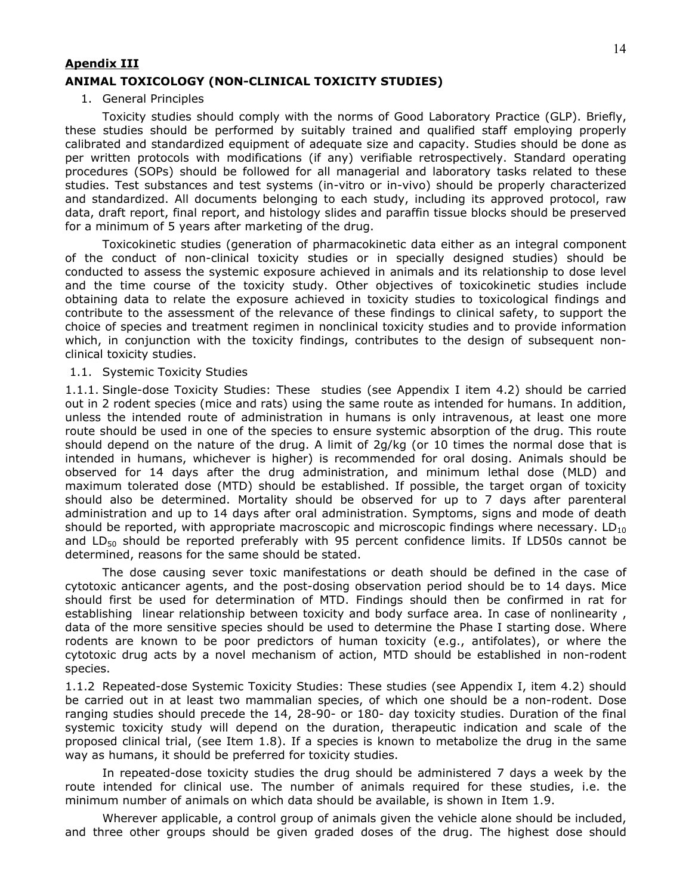# **Apendix III ANIMAL TOXICOLOGY (NON-CLINICAL TOXICITY STUDIES)**

#### 1. General Principles

 Toxicity studies should comply with the norms of Good Laboratory Practice (GLP). Briefly, these studies should be performed by suitably trained and qualified staff employing properly calibrated and standardized equipment of adequate size and capacity. Studies should be done as per written protocols with modifications (if any) verifiable retrospectively. Standard operating procedures (SOPs) should be followed for all managerial and laboratory tasks related to these studies. Test substances and test systems (in-vitro or in-vivo) should be properly characterized and standardized. All documents belonging to each study, including its approved protocol, raw data, draft report, final report, and histology slides and paraffin tissue blocks should be preserved for a minimum of 5 years after marketing of the drug.

 Toxicokinetic studies (generation of pharmacokinetic data either as an integral component of the conduct of non-clinical toxicity studies or in specially designed studies) should be conducted to assess the systemic exposure achieved in animals and its relationship to dose level and the time course of the toxicity study. Other objectives of toxicokinetic studies include obtaining data to relate the exposure achieved in toxicity studies to toxicological findings and contribute to the assessment of the relevance of these findings to clinical safety, to support the choice of species and treatment regimen in nonclinical toxicity studies and to provide information which, in conjunction with the toxicity findings, contributes to the design of subsequent nonclinical toxicity studies.

#### 1.1. Systemic Toxicity Studies

1.1.1. Single-dose Toxicity Studies: These studies (see Appendix I item 4.2) should be carried out in 2 rodent species (mice and rats) using the same route as intended for humans. In addition, unless the intended route of administration in humans is only intravenous, at least one more route should be used in one of the species to ensure systemic absorption of the drug. This route should depend on the nature of the drug. A limit of 2g/kg (or 10 times the normal dose that is intended in humans, whichever is higher) is recommended for oral dosing. Animals should be observed for 14 days after the drug administration, and minimum lethal dose (MLD) and maximum tolerated dose (MTD) should be established. If possible, the target organ of toxicity should also be determined. Mortality should be observed for up to 7 days after parenteral administration and up to 14 days after oral administration. Symptoms, signs and mode of death should be reported, with appropriate macroscopic and microscopic findings where necessary.  $LD_{10}$ and  $LD_{50}$  should be reported preferably with 95 percent confidence limits. If LD50s cannot be determined, reasons for the same should be stated.

 The dose causing sever toxic manifestations or death should be defined in the case of cytotoxic anticancer agents, and the post-dosing observation period should be to 14 days. Mice should first be used for determination of MTD. Findings should then be confirmed in rat for establishing linear relationship between toxicity and body surface area. In case of nonlinearity, data of the more sensitive species should be used to determine the Phase I starting dose. Where rodents are known to be poor predictors of human toxicity (e.g., antifolates), or where the cytotoxic drug acts by a novel mechanism of action, MTD should be established in non-rodent species.

1.1.2 Repeated-dose Systemic Toxicity Studies: These studies (see Appendix I, item 4.2) should be carried out in at least two mammalian species, of which one should be a non-rodent. Dose ranging studies should precede the 14, 28-90- or 180- day toxicity studies. Duration of the final systemic toxicity study will depend on the duration, therapeutic indication and scale of the proposed clinical trial, (see Item 1.8). If a species is known to metabolize the drug in the same way as humans, it should be preferred for toxicity studies.

 In repeated-dose toxicity studies the drug should be administered 7 days a week by the route intended for clinical use. The number of animals required for these studies, i.e. the minimum number of animals on which data should be available, is shown in Item 1.9.

 Wherever applicable, a control group of animals given the vehicle alone should be included, and three other groups should be given graded doses of the drug. The highest dose should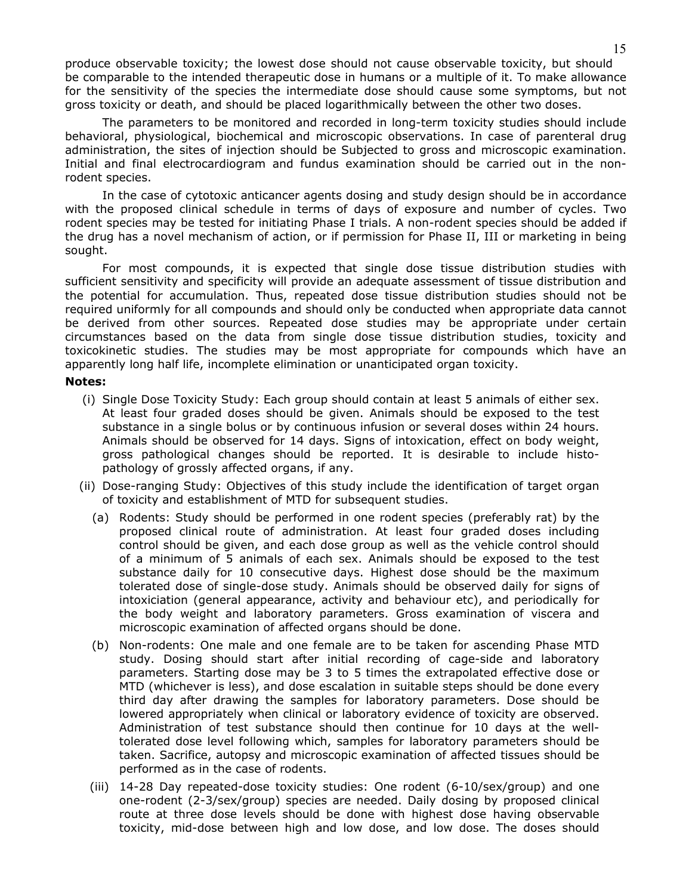produce observable toxicity; the lowest dose should not cause observable toxicity, but should be comparable to the intended therapeutic dose in humans or a multiple of it. To make allowance for the sensitivity of the species the intermediate dose should cause some symptoms, but not gross toxicity or death, and should be placed logarithmically between the other two doses.

 The parameters to be monitored and recorded in long-term toxicity studies should include behavioral, physiological, biochemical and microscopic observations. In case of parenteral drug administration, the sites of injection should be Subjected to gross and microscopic examination. Initial and final electrocardiogram and fundus examination should be carried out in the nonrodent species.

 In the case of cytotoxic anticancer agents dosing and study design should be in accordance with the proposed clinical schedule in terms of days of exposure and number of cycles. Two rodent species may be tested for initiating Phase I trials. A non-rodent species should be added if the drug has a novel mechanism of action, or if permission for Phase II, III or marketing in being sought.

 For most compounds, it is expected that single dose tissue distribution studies with sufficient sensitivity and specificity will provide an adequate assessment of tissue distribution and the potential for accumulation. Thus, repeated dose tissue distribution studies should not be required uniformly for all compounds and should only be conducted when appropriate data cannot be derived from other sources. Repeated dose studies may be appropriate under certain circumstances based on the data from single dose tissue distribution studies, toxicity and toxicokinetic studies. The studies may be most appropriate for compounds which have an apparently long half life, incomplete elimination or unanticipated organ toxicity.

#### **Notes:**

- (i) Single Dose Toxicity Study: Each group should contain at least 5 animals of either sex. At least four graded doses should be given. Animals should be exposed to the test substance in a single bolus or by continuous infusion or several doses within 24 hours. Animals should be observed for 14 days. Signs of intoxication, effect on body weight, gross pathological changes should be reported. It is desirable to include histopathology of grossly affected organs, if any.
- (ii) Dose-ranging Study: Objectives of this study include the identification of target organ of toxicity and establishment of MTD for subsequent studies.
	- (a) Rodents: Study should be performed in one rodent species (preferably rat) by the proposed clinical route of administration. At least four graded doses including control should be given, and each dose group as well as the vehicle control should of a minimum of 5 animals of each sex. Animals should be exposed to the test substance daily for 10 consecutive days. Highest dose should be the maximum tolerated dose of single-dose study. Animals should be observed daily for signs of intoxiciation (general appearance, activity and behaviour etc), and periodically for the body weight and laboratory parameters. Gross examination of viscera and microscopic examination of affected organs should be done.
	- (b) Non-rodents: One male and one female are to be taken for ascending Phase MTD study. Dosing should start after initial recording of cage-side and laboratory parameters. Starting dose may be 3 to 5 times the extrapolated effective dose or MTD (whichever is less), and dose escalation in suitable steps should be done every third day after drawing the samples for laboratory parameters. Dose should be lowered appropriately when clinical or laboratory evidence of toxicity are observed. Administration of test substance should then continue for 10 days at the welltolerated dose level following which, samples for laboratory parameters should be taken. Sacrifice, autopsy and microscopic examination of affected tissues should be performed as in the case of rodents.
	- (iii) 14-28 Day repeated-dose toxicity studies: One rodent (6-10/sex/group) and one one-rodent (2-3/sex/group) species are needed. Daily dosing by proposed clinical route at three dose levels should be done with highest dose having observable toxicity, mid-dose between high and low dose, and low dose. The doses should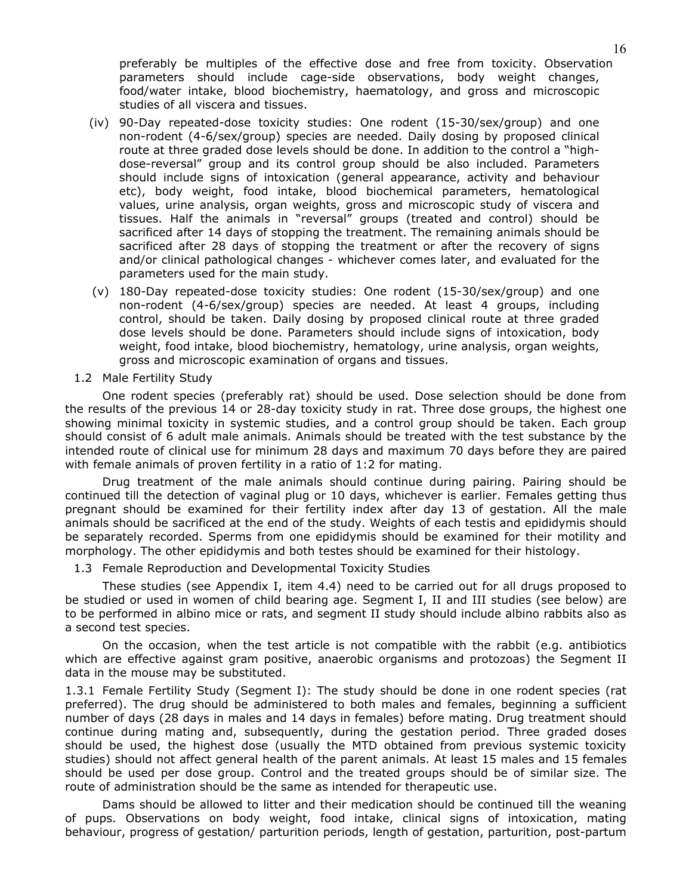preferably be multiples of the effective dose and free from toxicity. Observation parameters should include cage-side observations, body weight changes, food/water intake, blood biochemistry, haematology, and gross and microscopic studies of all viscera and tissues.

- (iv) 90-Day repeated-dose toxicity studies: One rodent (15-30/sex/group) and one non-rodent (4-6/sex/group) species are needed. Daily dosing by proposed clinical route at three graded dose levels should be done. In addition to the control a "highdose-reversal" group and its control group should be also included. Parameters should include signs of intoxication (general appearance, activity and behaviour etc), body weight, food intake, blood biochemical parameters, hematological values, urine analysis, organ weights, gross and microscopic study of viscera and tissues. Half the animals in "reversal" groups (treated and control) should be sacrificed after 14 days of stopping the treatment. The remaining animals should be sacrificed after 28 days of stopping the treatment or after the recovery of signs and/or clinical pathological changes - whichever comes later, and evaluated for the parameters used for the main study.
- (v) 180-Day repeated-dose toxicity studies: One rodent (15-30/sex/group) and one non-rodent (4-6/sex/group) species are needed. At least 4 groups, including control, should be taken. Daily dosing by proposed clinical route at three graded dose levels should be done. Parameters should include signs of intoxication, body weight, food intake, blood biochemistry, hematology, urine analysis, organ weights, gross and microscopic examination of organs and tissues.
- 1.2 Male Fertility Study

 One rodent species (preferably rat) should be used. Dose selection should be done from the results of the previous 14 or 28-day toxicity study in rat. Three dose groups, the highest one showing minimal toxicity in systemic studies, and a control group should be taken. Each group should consist of 6 adult male animals. Animals should be treated with the test substance by the intended route of clinical use for minimum 28 days and maximum 70 days before they are paired with female animals of proven fertility in a ratio of 1:2 for mating.

 Drug treatment of the male animals should continue during pairing. Pairing should be continued till the detection of vaginal plug or 10 days, whichever is earlier. Females getting thus pregnant should be examined for their fertility index after day 13 of gestation. All the male animals should be sacrificed at the end of the study. Weights of each testis and epididymis should be separately recorded. Sperms from one epididymis should be examined for their motility and morphology. The other epididymis and both testes should be examined for their histology.

1.3 Female Reproduction and Developmental Toxicity Studies

 These studies (see Appendix I, item 4.4) need to be carried out for all drugs proposed to be studied or used in women of child bearing age. Segment I, II and III studies (see below) are to be performed in albino mice or rats, and segment II study should include albino rabbits also as a second test species.

 On the occasion, when the test article is not compatible with the rabbit (e.g. antibiotics which are effective against gram positive, anaerobic organisms and protozoas) the Segment II data in the mouse may be substituted.

1.3.1 Female Fertility Study (Segment I): The study should be done in one rodent species (rat preferred). The drug should be administered to both males and females, beginning a sufficient number of days (28 days in males and 14 days in females) before mating. Drug treatment should continue during mating and, subsequently, during the gestation period. Three graded doses should be used, the highest dose (usually the MTD obtained from previous systemic toxicity studies) should not affect general health of the parent animals. At least 15 males and 15 females should be used per dose group. Control and the treated groups should be of similar size. The route of administration should be the same as intended for therapeutic use.

 Dams should be allowed to litter and their medication should be continued till the weaning of pups. Observations on body weight, food intake, clinical signs of intoxication, mating behaviour, progress of gestation/ parturition periods, length of gestation, parturition, post-partum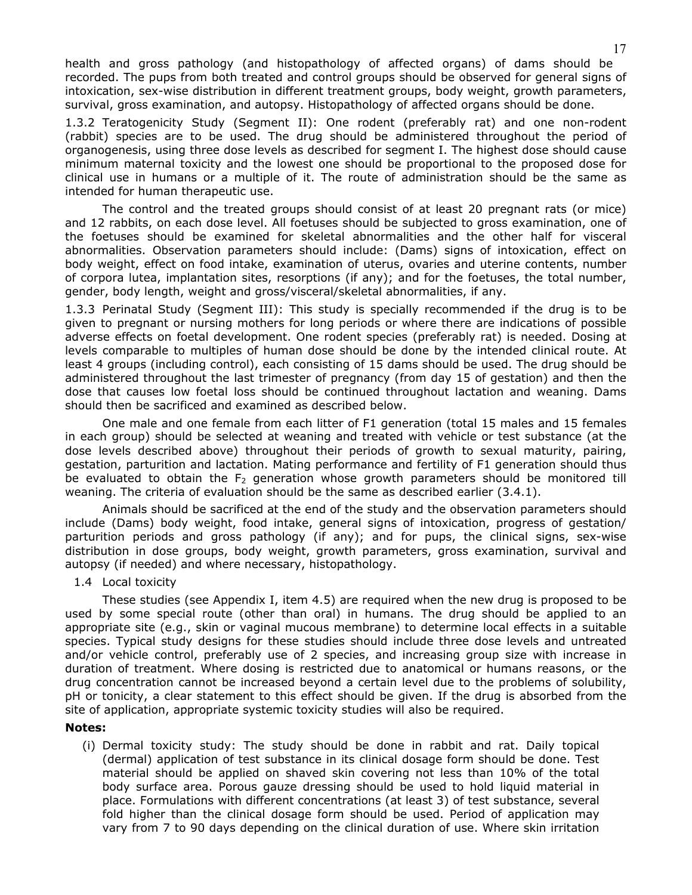health and gross pathology (and histopathology of affected organs) of dams should be recorded. The pups from both treated and control groups should be observed for general signs of intoxication, sex-wise distribution in different treatment groups, body weight, growth parameters, survival, gross examination, and autopsy. Histopathology of affected organs should be done.

1.3.2 Teratogenicity Study (Segment II): One rodent (preferably rat) and one non-rodent (rabbit) species are to be used. The drug should be administered throughout the period of organogenesis, using three dose levels as described for segment I. The highest dose should cause minimum maternal toxicity and the lowest one should be proportional to the proposed dose for clinical use in humans or a multiple of it. The route of administration should be the same as intended for human therapeutic use.

 The control and the treated groups should consist of at least 20 pregnant rats (or mice) and 12 rabbits, on each dose level. All foetuses should be subjected to gross examination, one of the foetuses should be examined for skeletal abnormalities and the other half for visceral abnormalities. Observation parameters should include: (Dams) signs of intoxication, effect on body weight, effect on food intake, examination of uterus, ovaries and uterine contents, number of corpora lutea, implantation sites, resorptions (if any); and for the foetuses, the total number, gender, body length, weight and gross/visceral/skeletal abnormalities, if any.

1.3.3 Perinatal Study (Segment III): This study is specially recommended if the drug is to be given to pregnant or nursing mothers for long periods or where there are indications of possible adverse effects on foetal development. One rodent species (preferably rat) is needed. Dosing at levels comparable to multiples of human dose should be done by the intended clinical route. At least 4 groups (including control), each consisting of 15 dams should be used. The drug should be administered throughout the last trimester of pregnancy (from day 15 of gestation) and then the dose that causes low foetal loss should be continued throughout lactation and weaning. Dams should then be sacrificed and examined as described below.

 One male and one female from each litter of F1 generation (total 15 males and 15 females in each group) should be selected at weaning and treated with vehicle or test substance (at the dose levels described above) throughout their periods of growth to sexual maturity, pairing, gestation, parturition and lactation. Mating performance and fertility of F1 generation should thus be evaluated to obtain the  $F_2$  generation whose growth parameters should be monitored till weaning. The criteria of evaluation should be the same as described earlier (3.4.1).

 Animals should be sacrificed at the end of the study and the observation parameters should include (Dams) body weight, food intake, general signs of intoxication, progress of gestation/ parturition periods and gross pathology (if any); and for pups, the clinical signs, sex-wise distribution in dose groups, body weight, growth parameters, gross examination, survival and autopsy (if needed) and where necessary, histopathology.

#### 1.4 Local toxicity

 These studies (see Appendix I, item 4.5) are required when the new drug is proposed to be used by some special route (other than oral) in humans. The drug should be applied to an appropriate site (e.g., skin or vaginal mucous membrane) to determine local effects in a suitable species. Typical study designs for these studies should include three dose levels and untreated and/or vehicle control, preferably use of 2 species, and increasing group size with increase in duration of treatment. Where dosing is restricted due to anatomical or humans reasons, or the drug concentration cannot be increased beyond a certain level due to the problems of solubility, pH or tonicity, a clear statement to this effect should be given. If the drug is absorbed from the site of application, appropriate systemic toxicity studies will also be required.

#### **Notes:**

 (i) Dermal toxicity study: The study should be done in rabbit and rat. Daily topical (dermal) application of test substance in its clinical dosage form should be done. Test material should be applied on shaved skin covering not less than 10% of the total body surface area. Porous gauze dressing should be used to hold liquid material in place. Formulations with different concentrations (at least 3) of test substance, several fold higher than the clinical dosage form should be used. Period of application may vary from 7 to 90 days depending on the clinical duration of use. Where skin irritation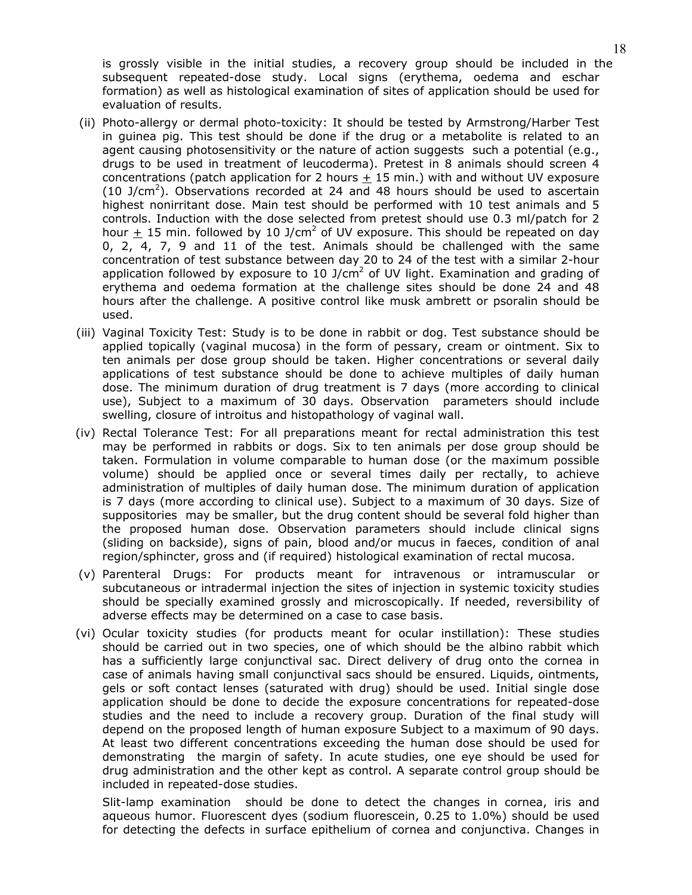is grossly visible in the initial studies, a recovery group should be included in the subsequent repeated-dose study. Local signs (erythema, oedema and eschar formation) as well as histological examination of sites of application should be used for evaluation of results.

- (ii) Photo-allergy or dermal photo-toxicity: It should be tested by Armstrong/Harber Test in guinea pig. This test should be done if the drug or a metabolite is related to an agent causing photosensitivity or the nature of action suggests such a potential (e.g., drugs to be used in treatment of leucoderma). Pretest in 8 animals should screen 4 concentrations (patch application for 2 hours  $\pm$  15 min.) with and without UV exposure (10 J/cm<sup>2</sup>). Observations recorded at 24 and 48 hours should be used to ascertain highest nonirritant dose. Main test should be performed with 10 test animals and 5 controls. Induction with the dose selected from pretest should use 0.3 ml/patch for 2 hour  $\pm$  15 min. followed by 10 J/cm<sup>2</sup> of UV exposure. This should be repeated on day 0, 2, 4, 7, 9 and 11 of the test. Animals should be challenged with the same concentration of test substance between day 20 to 24 of the test with a similar 2-hour application followed by exposure to 10 J/cm<sup>2</sup> of UV light. Examination and grading of erythema and oedema formation at the challenge sites should be done 24 and 48 hours after the challenge. A positive control like musk ambrett or psoralin should be used.
- (iii) Vaginal Toxicity Test: Study is to be done in rabbit or dog. Test substance should be applied topically (vaginal mucosa) in the form of pessary, cream or ointment. Six to ten animals per dose group should be taken. Higher concentrations or several daily applications of test substance should be done to achieve multiples of daily human dose. The minimum duration of drug treatment is 7 days (more according to clinical use), Subject to a maximum of 30 days. Observation parameters should include swelling, closure of introitus and histopathology of vaginal wall.
- (iv) Rectal Tolerance Test: For all preparations meant for rectal administration this test may be performed in rabbits or dogs. Six to ten animals per dose group should be taken. Formulation in volume comparable to human dose (or the maximum possible volume) should be applied once or several times daily per rectally, to achieve administration of multiples of daily human dose. The minimum duration of application is 7 days (more according to clinical use). Subject to a maximum of 30 days. Size of suppositories may be smaller, but the drug content should be several fold higher than the proposed human dose. Observation parameters should include clinical signs (sliding on backside), signs of pain, blood and/or mucus in faeces, condition of anal region/sphincter, gross and (if required) histological examination of rectal mucosa.
- (v) Parenteral Drugs: For products meant for intravenous or intramuscular or subcutaneous or intradermal injection the sites of injection in systemic toxicity studies should be specially examined grossly and microscopically. If needed, reversibility of adverse effects may be determined on a case to case basis.
- (vi) Ocular toxicity studies (for products meant for ocular instillation): These studies should be carried out in two species, one of which should be the albino rabbit which has a sufficiently large conjunctival sac. Direct delivery of drug onto the cornea in case of animals having small conjunctival sacs should be ensured. Liquids, ointments, gels or soft contact lenses (saturated with drug) should be used. Initial single dose application should be done to decide the exposure concentrations for repeated-dose studies and the need to include a recovery group. Duration of the final study will depend on the proposed length of human exposure Subject to a maximum of 90 days. At least two different concentrations exceeding the human dose should be used for demonstrating the margin of safety. In acute studies, one eye should be used for drug administration and the other kept as control. A separate control group should be included in repeated-dose studies.

 Slit-lamp examination should be done to detect the changes in cornea, iris and aqueous humor. Fluorescent dyes (sodium fluorescein, 0.25 to 1.0%) should be used for detecting the defects in surface epithelium of cornea and conjunctiva. Changes in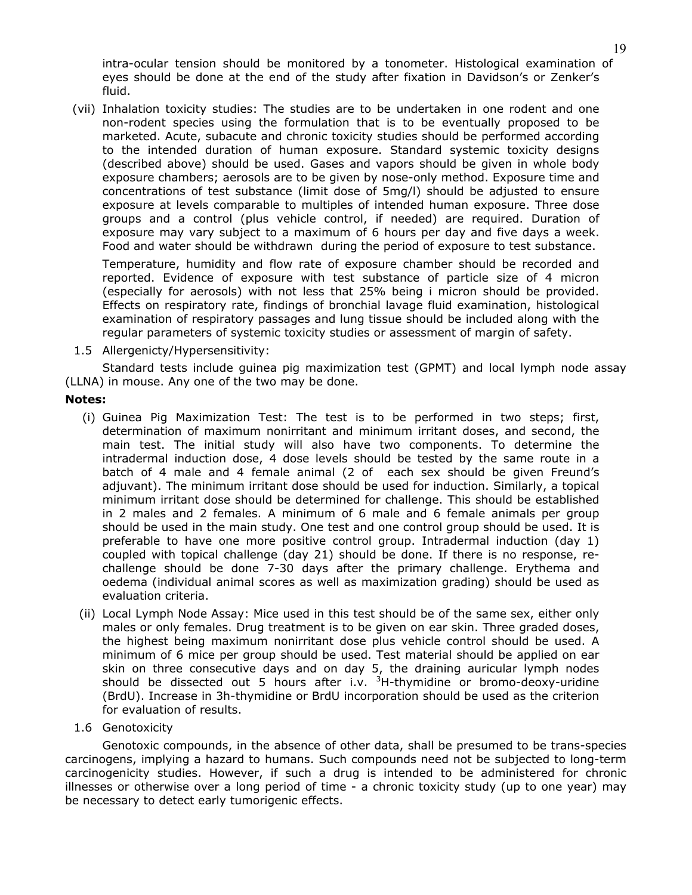intra-ocular tension should be monitored by a tonometer. Histological examination of eyes should be done at the end of the study after fixation in Davidson's or Zenker's fluid.

 (vii) Inhalation toxicity studies: The studies are to be undertaken in one rodent and one non-rodent species using the formulation that is to be eventually proposed to be marketed. Acute, subacute and chronic toxicity studies should be performed according to the intended duration of human exposure. Standard systemic toxicity designs (described above) should be used. Gases and vapors should be given in whole body exposure chambers; aerosols are to be given by nose-only method. Exposure time and concentrations of test substance (limit dose of 5mg/l) should be adjusted to ensure exposure at levels comparable to multiples of intended human exposure. Three dose groups and a control (plus vehicle control, if needed) are required. Duration of exposure may vary subject to a maximum of 6 hours per day and five days a week. Food and water should be withdrawn during the period of exposure to test substance.

 Temperature, humidity and flow rate of exposure chamber should be recorded and reported. Evidence of exposure with test substance of particle size of 4 micron (especially for aerosols) with not less that 25% being i micron should be provided. Effects on respiratory rate, findings of bronchial lavage fluid examination, histological examination of respiratory passages and lung tissue should be included along with the regular parameters of systemic toxicity studies or assessment of margin of safety.

1.5 Allergenicty/Hypersensitivity:

 Standard tests include guinea pig maximization test (GPMT) and local lymph node assay (LLNA) in mouse. Any one of the two may be done.

#### **Notes:**

- (i) Guinea Pig Maximization Test: The test is to be performed in two steps; first, determination of maximum nonirritant and minimum irritant doses, and second, the main test. The initial study will also have two components. To determine the intradermal induction dose, 4 dose levels should be tested by the same route in a batch of 4 male and 4 female animal (2 of each sex should be given Freund's adjuvant). The minimum irritant dose should be used for induction. Similarly, a topical minimum irritant dose should be determined for challenge. This should be established in 2 males and 2 females. A minimum of 6 male and 6 female animals per group should be used in the main study. One test and one control group should be used. It is preferable to have one more positive control group. Intradermal induction (day 1) coupled with topical challenge (day 21) should be done. If there is no response, rechallenge should be done 7-30 days after the primary challenge. Erythema and oedema (individual animal scores as well as maximization grading) should be used as evaluation criteria.
- (ii) Local Lymph Node Assay: Mice used in this test should be of the same sex, either only males or only females. Drug treatment is to be given on ear skin. Three graded doses, the highest being maximum nonirritant dose plus vehicle control should be used. A minimum of 6 mice per group should be used. Test material should be applied on ear skin on three consecutive days and on day 5, the draining auricular lymph nodes should be dissected out 5 hours after i.v.  $3H$ -thymidine or bromo-deoxy-uridine (BrdU). Increase in 3h-thymidine or BrdU incorporation should be used as the criterion for evaluation of results.

#### 1.6 Genotoxicity

 Genotoxic compounds, in the absence of other data, shall be presumed to be trans-species carcinogens, implying a hazard to humans. Such compounds need not be subjected to long-term carcinogenicity studies. However, if such a drug is intended to be administered for chronic illnesses or otherwise over a long period of time - a chronic toxicity study (up to one year) may be necessary to detect early tumorigenic effects.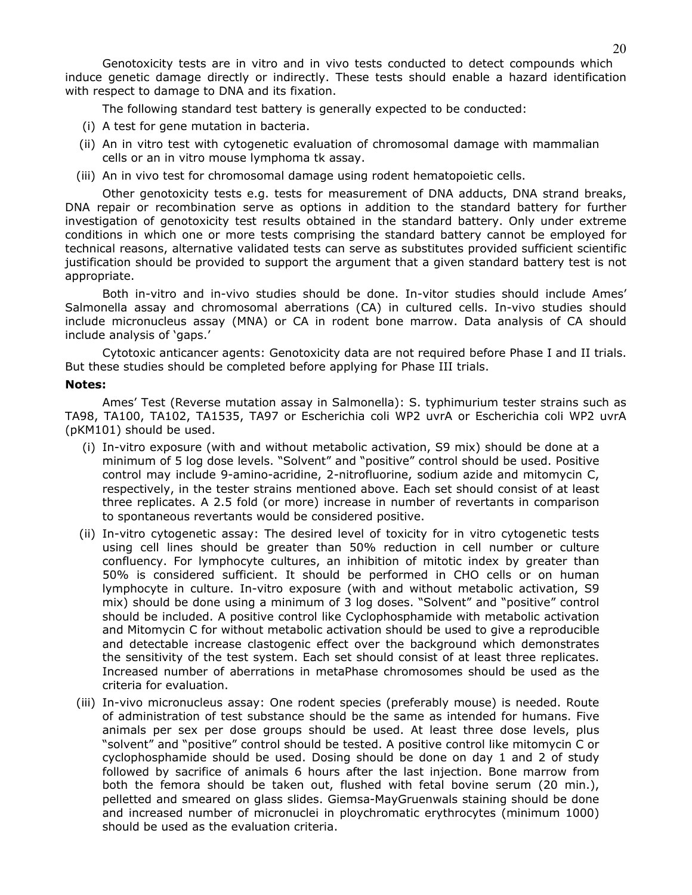Genotoxicity tests are in vitro and in vivo tests conducted to detect compounds which induce genetic damage directly or indirectly. These tests should enable a hazard identification with respect to damage to DNA and its fixation.

The following standard test battery is generally expected to be conducted:

- (i) A test for gene mutation in bacteria.
- (ii) An in vitro test with cytogenetic evaluation of chromosomal damage with mammalian cells or an in vitro mouse lymphoma tk assay.
- (iii) An in vivo test for chromosomal damage using rodent hematopoietic cells.

 Other genotoxicity tests e.g. tests for measurement of DNA adducts, DNA strand breaks, DNA repair or recombination serve as options in addition to the standard battery for further investigation of genotoxicity test results obtained in the standard battery. Only under extreme conditions in which one or more tests comprising the standard battery cannot be employed for technical reasons, alternative validated tests can serve as substitutes provided sufficient scientific justification should be provided to support the argument that a given standard battery test is not appropriate.

 Both in-vitro and in-vivo studies should be done. In-vitor studies should include Ames' Salmonella assay and chromosomal aberrations (CA) in cultured cells. In-vivo studies should include micronucleus assay (MNA) or CA in rodent bone marrow. Data analysis of CA should include analysis of 'gaps.'

 Cytotoxic anticancer agents: Genotoxicity data are not required before Phase I and II trials. But these studies should be completed before applying for Phase III trials.

#### **Notes:**

 Ames' Test (Reverse mutation assay in Salmonella): S. typhimurium tester strains such as TA98, TA100, TA102, TA1535, TA97 or Escherichia coli WP2 uvrA or Escherichia coli WP2 uvrA (pKM101) should be used.

- (i) In-vitro exposure (with and without metabolic activation, S9 mix) should be done at a minimum of 5 log dose levels. "Solvent" and "positive" control should be used. Positive control may include 9-amino-acridine, 2-nitrofluorine, sodium azide and mitomycin C, respectively, in the tester strains mentioned above. Each set should consist of at least three replicates. A 2.5 fold (or more) increase in number of revertants in comparison to spontaneous revertants would be considered positive.
- (ii) In-vitro cytogenetic assay: The desired level of toxicity for in vitro cytogenetic tests using cell lines should be greater than 50% reduction in cell number or culture confluency. For lymphocyte cultures, an inhibition of mitotic index by greater than 50% is considered sufficient. It should be performed in CHO cells or on human lymphocyte in culture. In-vitro exposure (with and without metabolic activation, S9 mix) should be done using a minimum of 3 log doses. "Solvent" and "positive" control should be included. A positive control like Cyclophosphamide with metabolic activation and Mitomycin C for without metabolic activation should be used to give a reproducible and detectable increase clastogenic effect over the background which demonstrates the sensitivity of the test system. Each set should consist of at least three replicates. Increased number of aberrations in metaPhase chromosomes should be used as the criteria for evaluation.
- (iii) In-vivo micronucleus assay: One rodent species (preferably mouse) is needed. Route of administration of test substance should be the same as intended for humans. Five animals per sex per dose groups should be used. At least three dose levels, plus "solvent" and "positive" control should be tested. A positive control like mitomycin C or cyclophosphamide should be used. Dosing should be done on day 1 and 2 of study followed by sacrifice of animals 6 hours after the last injection. Bone marrow from both the femora should be taken out, flushed with fetal bovine serum (20 min.), pelletted and smeared on glass slides. Giemsa-MayGruenwals staining should be done and increased number of micronuclei in ploychromatic erythrocytes (minimum 1000) should be used as the evaluation criteria.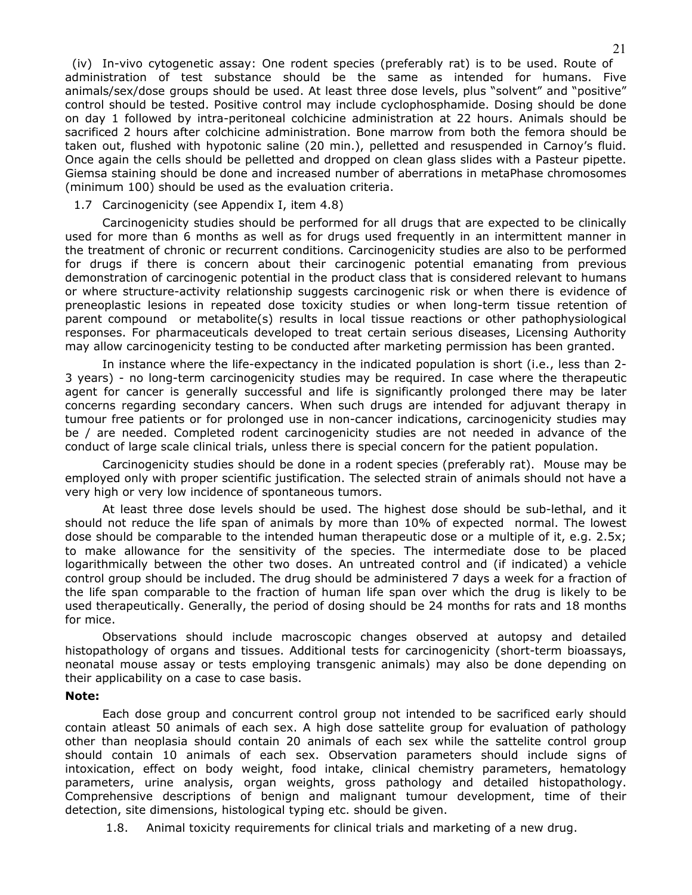(iv) In-vivo cytogenetic assay: One rodent species (preferably rat) is to be used. Route of administration of test substance should be the same as intended for humans. Five animals/sex/dose groups should be used. At least three dose levels, plus "solvent" and "positive" control should be tested. Positive control may include cyclophosphamide. Dosing should be done on day 1 followed by intra-peritoneal colchicine administration at 22 hours. Animals should be sacrificed 2 hours after colchicine administration. Bone marrow from both the femora should be taken out, flushed with hypotonic saline (20 min.), pelletted and resuspended in Carnoy's fluid. Once again the cells should be pelletted and dropped on clean glass slides with a Pasteur pipette. Giemsa staining should be done and increased number of aberrations in metaPhase chromosomes (minimum 100) should be used as the evaluation criteria.

#### 1.7 Carcinogenicity (see Appendix I, item 4.8)

 Carcinogenicity studies should be performed for all drugs that are expected to be clinically used for more than 6 months as well as for drugs used frequently in an intermittent manner in the treatment of chronic or recurrent conditions. Carcinogenicity studies are also to be performed for drugs if there is concern about their carcinogenic potential emanating from previous demonstration of carcinogenic potential in the product class that is considered relevant to humans or where structure-activity relationship suggests carcinogenic risk or when there is evidence of preneoplastic lesions in repeated dose toxicity studies or when long-term tissue retention of parent compound or metabolite(s) results in local tissue reactions or other pathophysiological responses. For pharmaceuticals developed to treat certain serious diseases, Licensing Authority may allow carcinogenicity testing to be conducted after marketing permission has been granted.

 In instance where the life-expectancy in the indicated population is short (i.e., less than 2- 3 years) - no long-term carcinogenicity studies may be required. In case where the therapeutic agent for cancer is generally successful and life is significantly prolonged there may be later concerns regarding secondary cancers. When such drugs are intended for adjuvant therapy in tumour free patients or for prolonged use in non-cancer indications, carcinogenicity studies may be / are needed. Completed rodent carcinogenicity studies are not needed in advance of the conduct of large scale clinical trials, unless there is special concern for the patient population.

 Carcinogenicity studies should be done in a rodent species (preferably rat). Mouse may be employed only with proper scientific justification. The selected strain of animals should not have a very high or very low incidence of spontaneous tumors.

 At least three dose levels should be used. The highest dose should be sub-lethal, and it should not reduce the life span of animals by more than 10% of expected normal. The lowest dose should be comparable to the intended human therapeutic dose or a multiple of it, e.g. 2.5x; to make allowance for the sensitivity of the species. The intermediate dose to be placed logarithmically between the other two doses. An untreated control and (if indicated) a vehicle control group should be included. The drug should be administered 7 days a week for a fraction of the life span comparable to the fraction of human life span over which the drug is likely to be used therapeutically. Generally, the period of dosing should be 24 months for rats and 18 months for mice.

 Observations should include macroscopic changes observed at autopsy and detailed histopathology of organs and tissues. Additional tests for carcinogenicity (short-term bioassays, neonatal mouse assay or tests employing transgenic animals) may also be done depending on their applicability on a case to case basis.

#### **Note:**

 Each dose group and concurrent control group not intended to be sacrificed early should contain atleast 50 animals of each sex. A high dose sattelite group for evaluation of pathology other than neoplasia should contain 20 animals of each sex while the sattelite control group should contain 10 animals of each sex. Observation parameters should include signs of intoxication, effect on body weight, food intake, clinical chemistry parameters, hematology parameters, urine analysis, organ weights, gross pathology and detailed histopathology. Comprehensive descriptions of benign and malignant tumour development, time of their detection, site dimensions, histological typing etc. should be given.

1.8. Animal toxicity requirements for clinical trials and marketing of a new drug.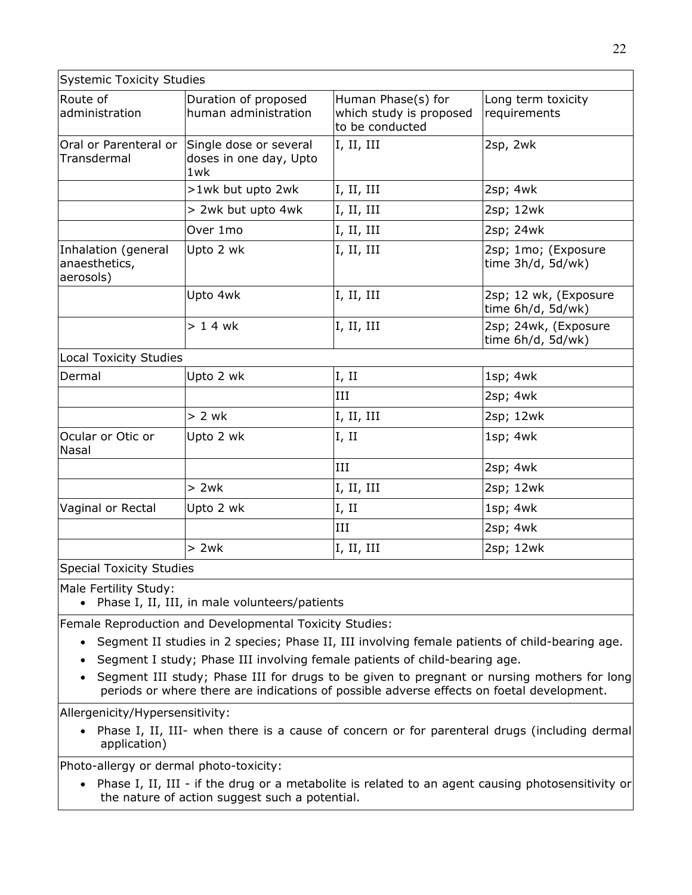| <b>Systemic Toxicity Studies</b>                  |                                                         |                                                                  |                                                |
|---------------------------------------------------|---------------------------------------------------------|------------------------------------------------------------------|------------------------------------------------|
| Route of<br>administration                        | Duration of proposed<br>human administration            | Human Phase(s) for<br>which study is proposed<br>to be conducted | Long term toxicity<br>requirements             |
| Oral or Parenteral or<br>Transdermal              | Single dose or several<br>doses in one day, Upto<br>1wk | I, II, III                                                       | 2sp, 2wk                                       |
|                                                   | >1wk but upto 2wk                                       | I, II, III                                                       | 2sp; 4wk                                       |
|                                                   | > 2wk but upto 4wk                                      | I, II, III                                                       | 2sp; 12wk                                      |
|                                                   | Over 1mo                                                | I, II, III                                                       | 2sp; 24wk                                      |
| Inhalation (general<br>anaesthetics,<br>aerosols) | Upto 2 wk                                               | I, II, III                                                       | 2sp; 1mo; (Exposure<br>time $3h/d$ , $5d/wk$ ) |
|                                                   | Upto 4wk                                                | I, II, III                                                       | 2sp; 12 wk, (Exposure<br>time 6h/d, 5d/wk)     |
|                                                   | $> 14$ wk                                               | I, II, III                                                       | 2sp; 24wk, (Exposure<br>time 6h/d, 5d/wk)      |
| Local Toxicity Studies                            |                                                         |                                                                  |                                                |
| Dermal                                            | Upto 2 wk                                               | I, II                                                            | 1sp; 4wk                                       |
|                                                   |                                                         | III                                                              | 2sp; 4wk                                       |
|                                                   | $> 2$ wk                                                | I, II, III                                                       | 2sp; 12wk                                      |
| Ocular or Otic or<br>Nasal                        | Upto 2 wk                                               | I, II                                                            | 1sp; 4wk                                       |
|                                                   |                                                         | III                                                              | 2sp; 4wk                                       |
|                                                   | > 2wk                                                   | I, II, III                                                       | 2sp; 12wk                                      |
| Vaginal or Rectal                                 | Upto 2 wk                                               | I, II                                                            | 1sp; 4wk                                       |
|                                                   |                                                         | III                                                              | 2sp; 4wk                                       |
|                                                   | > 2wk                                                   | I, II, III                                                       | 2sp; 12wk                                      |

Special Toxicity Studies

Male Fertility Study:

• Phase I, II, III, in male volunteers/patients

Female Reproduction and Developmental Toxicity Studies:

- Segment II studies in 2 species; Phase II, III involving female patients of child-bearing age.
- Segment I study; Phase III involving female patients of child-bearing age.
- Segment III study; Phase III for drugs to be given to pregnant or nursing mothers for long periods or where there are indications of possible adverse effects on foetal development.

Allergenicity/Hypersensitivity:

• Phase I, II, III- when there is a cause of concern or for parenteral drugs (including dermal application)

Photo-allergy or dermal photo-toxicity:

• Phase I, II, III - if the drug or a metabolite is related to an agent causing photosensitivity or the nature of action suggest such a potential.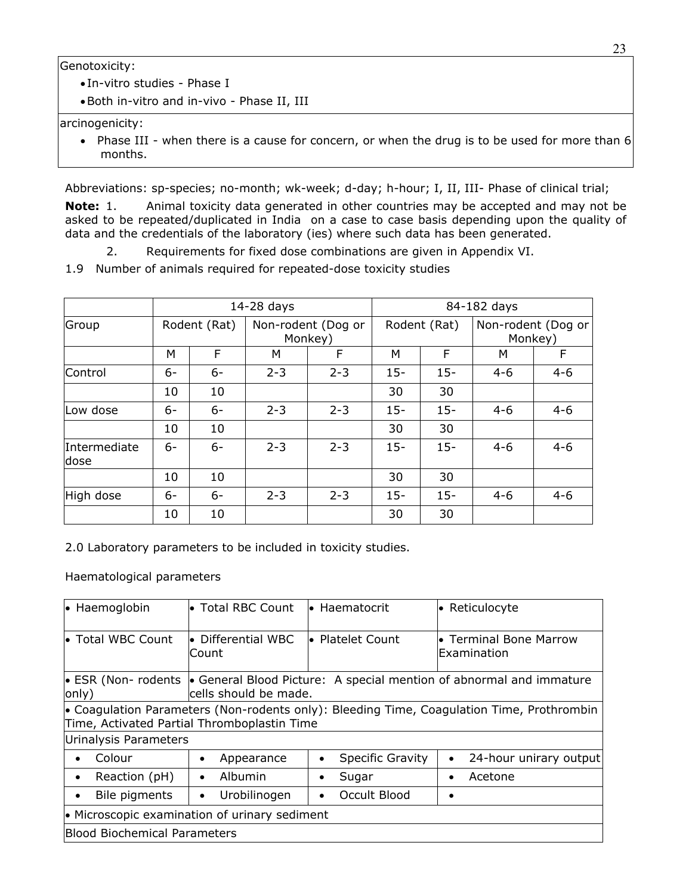Genotoxicity:

- In-vitro studies Phase I
- Both in-vitro and in-vivo Phase II, III

arcinogenicity:

• Phase III - when there is a cause for concern, or when the drug is to be used for more than 6 months.

Abbreviations: sp-species; no-month; wk-week; d-day; h-hour; I, II, III- Phase of clinical trial;

**Note:** 1. Animal toxicity data generated in other countries may be accepted and may not be asked to be repeated/duplicated in India on a case to case basis depending upon the quality of data and the credentials of the laboratory (ies) where such data has been generated.

2. Requirements for fixed dose combinations are given in Appendix VI.

# 1.9 Number of animals required for repeated-dose toxicity studies

|                      | 14-28 days |              |         | 84-182 days                   |        |              |         |                               |
|----------------------|------------|--------------|---------|-------------------------------|--------|--------------|---------|-------------------------------|
| Group                |            | Rodent (Rat) |         | Non-rodent (Dog or<br>Monkey) |        | Rodent (Rat) |         | Non-rodent (Dog or<br>Monkey) |
|                      | М          | F            | М       | F                             | М      | F            | M       | F                             |
| Control              | 6-         | $6-$         | $2 - 3$ | $2 - 3$                       | $15 -$ | $15 -$       | $4 - 6$ | $4 - 6$                       |
|                      | 10         | 10           |         |                               | 30     | 30           |         |                               |
| Low dose             | 6-         | $6-$         | $2 - 3$ | $2 - 3$                       | $15 -$ | $15 -$       | $4 - 6$ | $4 - 6$                       |
|                      | 10         | 10           |         |                               | 30     | 30           |         |                               |
| Intermediate<br>dose | 6-         | $6-$         | $2 - 3$ | $2 - 3$                       | $15 -$ | $15 -$       | $4 - 6$ | $4 - 6$                       |
|                      | 10         | 10           |         |                               | 30     | 30           |         |                               |
| High dose            | 6-         | $6-$         | $2 - 3$ | $2 - 3$                       | $15 -$ | $15 -$       | $4 - 6$ | $4 - 6$                       |
|                      | 10         | 10           |         |                               | 30     | 30           |         |                               |

2.0 Laboratory parameters to be included in toxicity studies.

## Haematological parameters

| $\bullet$ Haemoglobin                                                                                                                    | • Total RBC Count           | l• Haematocrit                       | • Reticulocyte                                                                                       |  |
|------------------------------------------------------------------------------------------------------------------------------------------|-----------------------------|--------------------------------------|------------------------------------------------------------------------------------------------------|--|
| • Total WBC Count                                                                                                                        | • Differential WBC<br>Count | • Platelet Count                     | <b>Ferminal Bone Marrow</b><br>Examination                                                           |  |
| only)                                                                                                                                    | cells should be made.       |                                      | <b>ESR</b> (Non- rodents $\bullet$ General Blood Picture: A special mention of abnormal and immature |  |
| • Coagulation Parameters (Non-rodents only): Bleeding Time, Coagulation Time, Prothrombin<br>Time, Activated Partial Thromboplastin Time |                             |                                      |                                                                                                      |  |
| Urinalysis Parameters                                                                                                                    |                             |                                      |                                                                                                      |  |
| Colour                                                                                                                                   | Appearance<br>$\bullet$     | <b>Specific Gravity</b><br>$\bullet$ | 24-hour unirary output<br>$\bullet$                                                                  |  |
| Reaction (pH)<br>$\bullet$                                                                                                               | Albumin<br>$\bullet$        | Sugar<br>٠                           | Acetone<br>$\bullet$                                                                                 |  |
| Bile pigments<br>$\bullet$                                                                                                               | Urobilinogen<br>$\bullet$   | Occult Blood<br>$\bullet$            |                                                                                                      |  |
| • Microscopic examination of urinary sediment                                                                                            |                             |                                      |                                                                                                      |  |
| <b>Blood Biochemical Parameters</b>                                                                                                      |                             |                                      |                                                                                                      |  |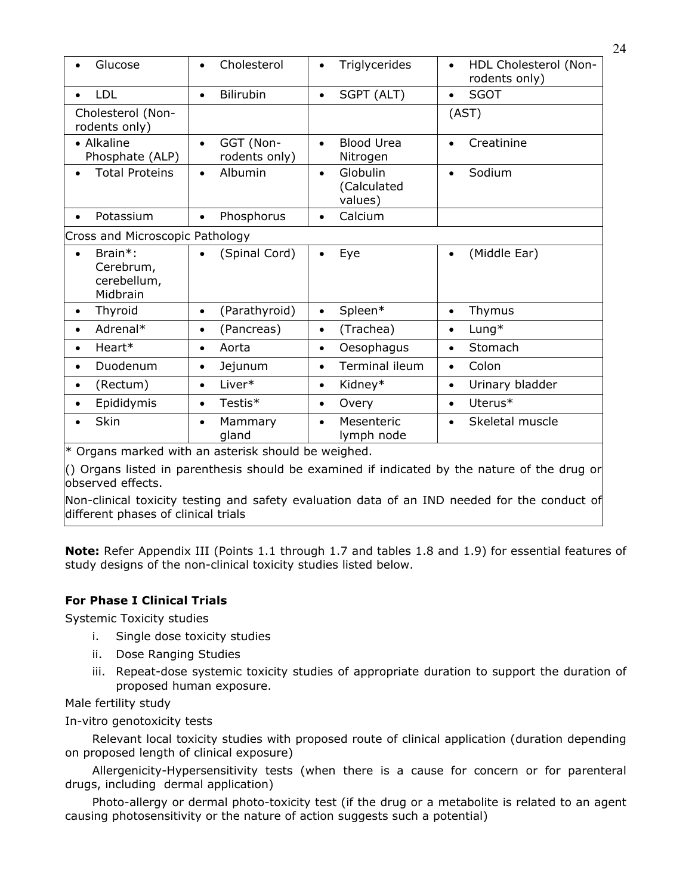| Glucose                                                                                      | Cholesterol                                                    | Triglycerides                                   | HDL Cholesterol (Non- |
|----------------------------------------------------------------------------------------------|----------------------------------------------------------------|-------------------------------------------------|-----------------------|
|                                                                                              | $\bullet$                                                      | $\bullet$                                       | rodents only)         |
| <b>LDL</b>                                                                                   | Bilirubin                                                      | SGPT (ALT)                                      | <b>SGOT</b>           |
|                                                                                              | $\bullet$                                                      | $\bullet$                                       | $\bullet$             |
| Cholesterol (Non-<br>rodents only)                                                           |                                                                |                                                 | (AST)                 |
| • Alkaline<br>Phosphate (ALP)                                                                | GGT (Non-<br>$\bullet$<br>rodents only)                        | <b>Blood Urea</b><br>$\bullet$<br>Nitrogen      | Creatinine            |
| <b>Total Proteins</b>                                                                        | Albumin<br>$\bullet$                                           | Globulin<br>$\bullet$<br>(Calculated<br>values) | Sodium<br>$\bullet$   |
| Potassium                                                                                    | Phosphorus                                                     | Calcium                                         |                       |
| $\bullet$                                                                                    | $\bullet$                                                      | $\bullet$                                       |                       |
| Cross and Microscopic Pathology                                                              |                                                                |                                                 |                       |
| Brain <sup>*</sup> :<br>Cerebrum,<br>cerebellum,<br>Midbrain                                 | (Spinal Cord)                                                  | Eye                                             | (Middle Ear)          |
| Thyroid                                                                                      | (Parathyroid)                                                  | Spleen*                                         | Thymus                |
| $\bullet$                                                                                    | $\bullet$                                                      | $\bullet$                                       |                       |
| Adrenal*                                                                                     | (Pancreas)                                                     | (Trachea)                                       | $Lung*$               |
| $\bullet$                                                                                    | $\bullet$                                                      | $\bullet$                                       |                       |
| Heart*                                                                                       | Aorta                                                          | Oesophagus                                      | Stomach               |
| $\bullet$                                                                                    | $\bullet$                                                      | $\bullet$                                       | $\bullet$             |
| Duodenum<br>$\bullet$                                                                        | Jejunum                                                        | Terminal ileum                                  | Colon                 |
| (Rectum)                                                                                     | Liver*                                                         | Kidney*                                         | Urinary bladder       |
| $\bullet$                                                                                    | $\bullet$                                                      | $\bullet$                                       | $\bullet$             |
| Epididymis                                                                                   | Testis*                                                        | Overy                                           | Uterus*               |
| $\bullet$                                                                                    | $\bullet$                                                      | $\bullet$                                       | $\bullet$             |
| Skin<br>$\bullet$<br>$\overline{a}$<br>$\mathbf{r}$ and $\mathbf{r}$<br>$\sim$ $\sim$ $\sim$ | Mammary<br>$\bullet$<br>gland<br><b>State State State</b><br>. | Mesenteric<br>$\bullet$<br>lymph node           | Skeletal muscle       |

\* Organs marked with an asterisk should be weighed.

() Organs listed in parenthesis should be examined if indicated by the nature of the drug or observed effects.

Non-clinical toxicity testing and safety evaluation data of an IND needed for the conduct of different phases of clinical trials

**Note:** Refer Appendix III (Points 1.1 through 1.7 and tables 1.8 and 1.9) for essential features of study designs of the non-clinical toxicity studies listed below.

# **For Phase I Clinical Trials**

Systemic Toxicity studies

- i. Single dose toxicity studies
- ii. Dose Ranging Studies
- iii. Repeat-dose systemic toxicity studies of appropriate duration to support the duration of proposed human exposure.

Male fertility study

In-vitro genotoxicity tests

 Relevant local toxicity studies with proposed route of clinical application (duration depending on proposed length of clinical exposure)

 Allergenicity-Hypersensitivity tests (when there is a cause for concern or for parenteral drugs, including dermal application)

 Photo-allergy or dermal photo-toxicity test (if the drug or a metabolite is related to an agent causing photosensitivity or the nature of action suggests such a potential)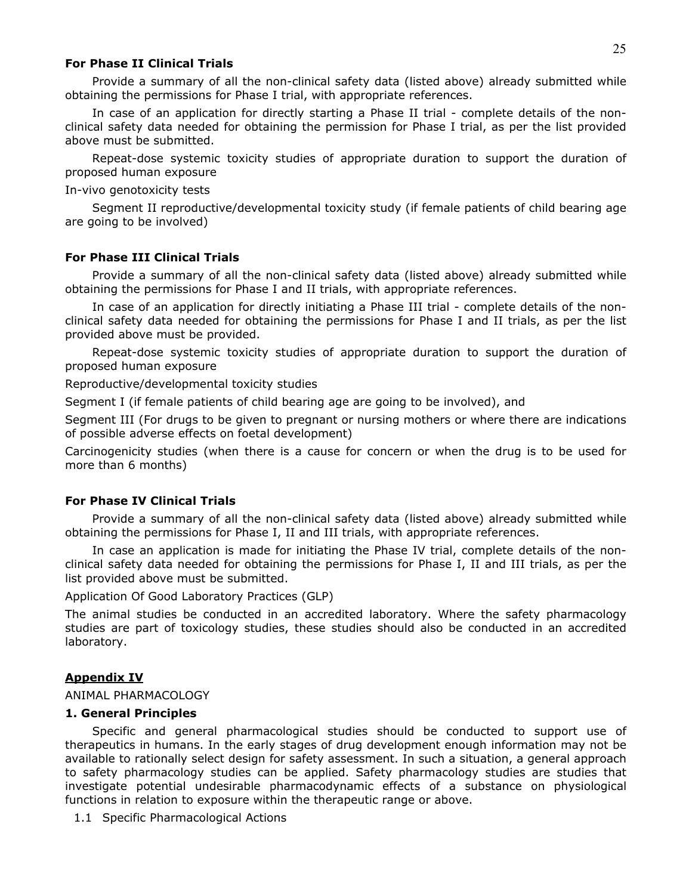#### **For Phase II Clinical Trials**

 Provide a summary of all the non-clinical safety data (listed above) already submitted while obtaining the permissions for Phase I trial, with appropriate references.

 In case of an application for directly starting a Phase II trial - complete details of the nonclinical safety data needed for obtaining the permission for Phase I trial, as per the list provided above must be submitted.

 Repeat-dose systemic toxicity studies of appropriate duration to support the duration of proposed human exposure

In-vivo genotoxicity tests

 Segment II reproductive/developmental toxicity study (if female patients of child bearing age are going to be involved)

#### **For Phase III Clinical Trials**

 Provide a summary of all the non-clinical safety data (listed above) already submitted while obtaining the permissions for Phase I and II trials, with appropriate references.

 In case of an application for directly initiating a Phase III trial - complete details of the nonclinical safety data needed for obtaining the permissions for Phase I and II trials, as per the list provided above must be provided.

 Repeat-dose systemic toxicity studies of appropriate duration to support the duration of proposed human exposure

Reproductive/developmental toxicity studies

Segment I (if female patients of child bearing age are going to be involved), and

Segment III (For drugs to be given to pregnant or nursing mothers or where there are indications of possible adverse effects on foetal development)

Carcinogenicity studies (when there is a cause for concern or when the drug is to be used for more than 6 months)

#### **For Phase IV Clinical Trials**

 Provide a summary of all the non-clinical safety data (listed above) already submitted while obtaining the permissions for Phase I, II and III trials, with appropriate references.

 In case an application is made for initiating the Phase IV trial, complete details of the nonclinical safety data needed for obtaining the permissions for Phase I, II and III trials, as per the list provided above must be submitted.

Application Of Good Laboratory Practices (GLP)

The animal studies be conducted in an accredited laboratory. Where the safety pharmacology studies are part of toxicology studies, these studies should also be conducted in an accredited laboratory.

## **Appendix IV**

ANIMAL PHARMACOLOGY

#### **1. General Principles**

 Specific and general pharmacological studies should be conducted to support use of therapeutics in humans. In the early stages of drug development enough information may not be available to rationally select design for safety assessment. In such a situation, a general approach to safety pharmacology studies can be applied. Safety pharmacology studies are studies that investigate potential undesirable pharmacodynamic effects of a substance on physiological functions in relation to exposure within the therapeutic range or above.

1.1 Specific Pharmacological Actions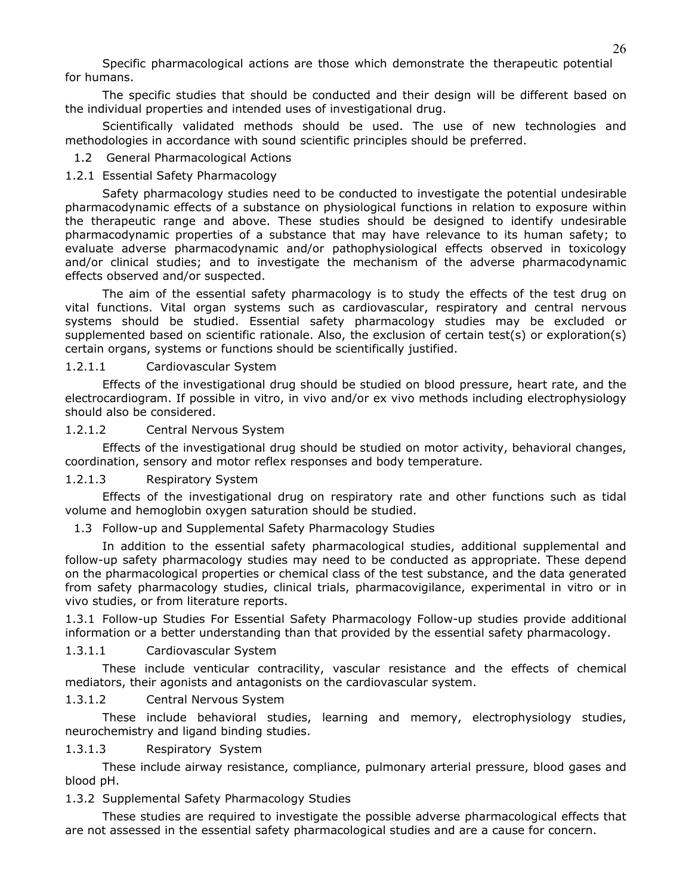Specific pharmacological actions are those which demonstrate the therapeutic potential for humans.

 The specific studies that should be conducted and their design will be different based on the individual properties and intended uses of investigational drug.

 Scientifically validated methods should be used. The use of new technologies and methodologies in accordance with sound scientific principles should be preferred.

# 1.2 General Pharmacological Actions

## 1.2.1 Essential Safety Pharmacology

 Safety pharmacology studies need to be conducted to investigate the potential undesirable pharmacodynamic effects of a substance on physiological functions in relation to exposure within the therapeutic range and above. These studies should be designed to identify undesirable pharmacodynamic properties of a substance that may have relevance to its human safety; to evaluate adverse pharmacodynamic and/or pathophysiological effects observed in toxicology and/or clinical studies; and to investigate the mechanism of the adverse pharmacodynamic effects observed and/or suspected.

 The aim of the essential safety pharmacology is to study the effects of the test drug on vital functions. Vital organ systems such as cardiovascular, respiratory and central nervous systems should be studied. Essential safety pharmacology studies may be excluded or supplemented based on scientific rationale. Also, the exclusion of certain test(s) or exploration(s) certain organs, systems or functions should be scientifically justified.

# 1.2.1.1 Cardiovascular System

 Effects of the investigational drug should be studied on blood pressure, heart rate, and the electrocardiogram. If possible in vitro, in vivo and/or ex vivo methods including electrophysiology should also be considered.

## 1.2.1.2 Central Nervous System

 Effects of the investigational drug should be studied on motor activity, behavioral changes, coordination, sensory and motor reflex responses and body temperature.

## 1.2.1.3 Respiratory System

 Effects of the investigational drug on respiratory rate and other functions such as tidal volume and hemoglobin oxygen saturation should be studied.

## 1.3 Follow-up and Supplemental Safety Pharmacology Studies

 In addition to the essential safety pharmacological studies, additional supplemental and follow-up safety pharmacology studies may need to be conducted as appropriate. These depend on the pharmacological properties or chemical class of the test substance, and the data generated from safety pharmacology studies, clinical trials, pharmacovigilance, experimental in vitro or in vivo studies, or from literature reports.

1.3.1 Follow-up Studies For Essential Safety Pharmacology Follow-up studies provide additional information or a better understanding than that provided by the essential safety pharmacology.

1.3.1.1 Cardiovascular System

 These include venticular contracility, vascular resistance and the effects of chemical mediators, their agonists and antagonists on the cardiovascular system.

# 1.3.1.2 Central Nervous System

 These include behavioral studies, learning and memory, electrophysiology studies, neurochemistry and ligand binding studies.

## 1.3.1.3 Respiratory System

 These include airway resistance, compliance, pulmonary arterial pressure, blood gases and blood pH.

# 1.3.2 Supplemental Safety Pharmacology Studies

 These studies are required to investigate the possible adverse pharmacological effects that are not assessed in the essential safety pharmacological studies and are a cause for concern.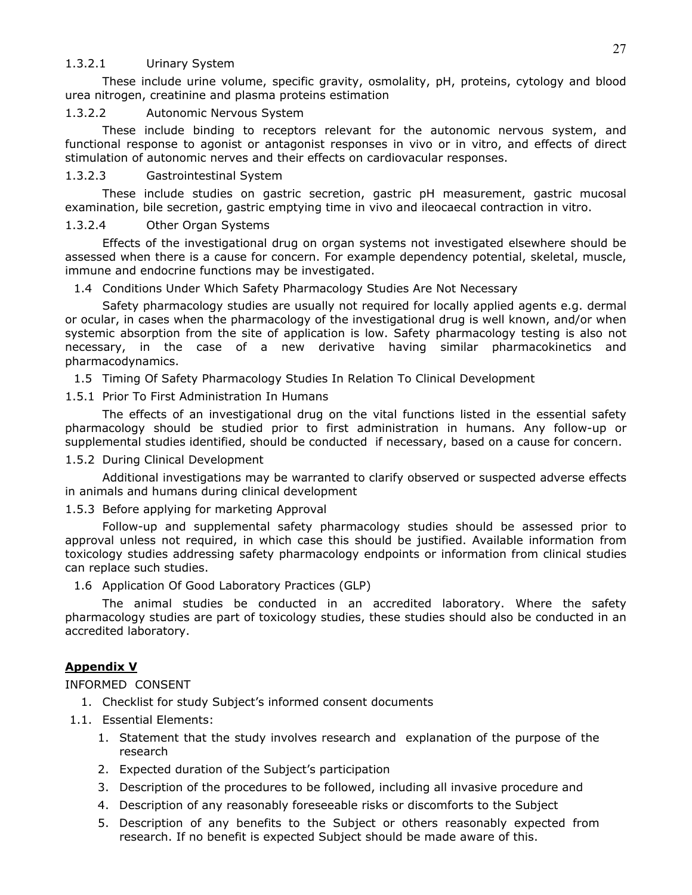#### 1.3.2.1 Urinary System

 These include urine volume, specific gravity, osmolality, pH, proteins, cytology and blood urea nitrogen, creatinine and plasma proteins estimation

# 1.3.2.2 Autonomic Nervous System

 These include binding to receptors relevant for the autonomic nervous system, and functional response to agonist or antagonist responses in vivo or in vitro, and effects of direct stimulation of autonomic nerves and their effects on cardiovacular responses.

#### 1.3.2.3 Gastrointestinal System

 These include studies on gastric secretion, gastric pH measurement, gastric mucosal examination, bile secretion, gastric emptying time in vivo and ileocaecal contraction in vitro.

## 1.3.2.4 Other Organ Systems

 Effects of the investigational drug on organ systems not investigated elsewhere should be assessed when there is a cause for concern. For example dependency potential, skeletal, muscle, immune and endocrine functions may be investigated.

#### 1.4 Conditions Under Which Safety Pharmacology Studies Are Not Necessary

 Safety pharmacology studies are usually not required for locally applied agents e.g. dermal or ocular, in cases when the pharmacology of the investigational drug is well known, and/or when systemic absorption from the site of application is low. Safety pharmacology testing is also not necessary, in the case of a new derivative having similar pharmacokinetics and pharmacodynamics.

1.5 Timing Of Safety Pharmacology Studies In Relation To Clinical Development

1.5.1 Prior To First Administration In Humans

 The effects of an investigational drug on the vital functions listed in the essential safety pharmacology should be studied prior to first administration in humans. Any follow-up or supplemental studies identified, should be conducted if necessary, based on a cause for concern.

## 1.5.2 During Clinical Development

 Additional investigations may be warranted to clarify observed or suspected adverse effects in animals and humans during clinical development

## 1.5.3 Before applying for marketing Approval

 Follow-up and supplemental safety pharmacology studies should be assessed prior to approval unless not required, in which case this should be justified. Available information from toxicology studies addressing safety pharmacology endpoints or information from clinical studies can replace such studies.

## 1.6 Application Of Good Laboratory Practices (GLP)

 The animal studies be conducted in an accredited laboratory. Where the safety pharmacology studies are part of toxicology studies, these studies should also be conducted in an accredited laboratory.

## **Appendix V**

## INFORMED CONSENT

- 1. Checklist for study Subject's informed consent documents
- 1.1. Essential Elements:
	- 1. Statement that the study involves research and explanation of the purpose of the research
	- 2. Expected duration of the Subject's participation
	- 3. Description of the procedures to be followed, including all invasive procedure and
	- 4. Description of any reasonably foreseeable risks or discomforts to the Subject
	- 5. Description of any benefits to the Subject or others reasonably expected from research. If no benefit is expected Subject should be made aware of this.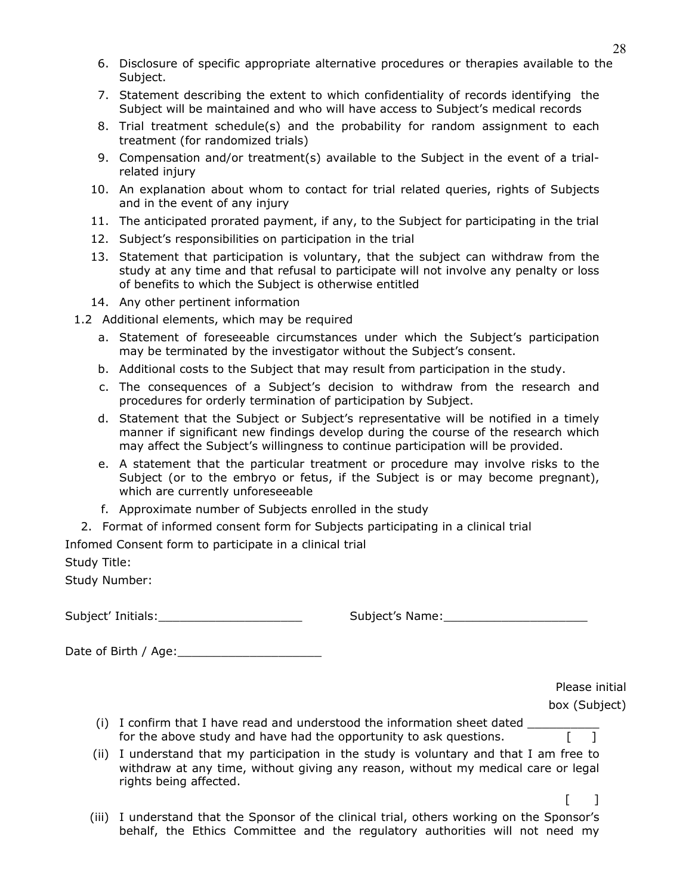- 6. Disclosure of specific appropriate alternative procedures or therapies available to the Subject.
- 7. Statement describing the extent to which confidentiality of records identifying the Subject will be maintained and who will have access to Subject's medical records
- 8. Trial treatment schedule(s) and the probability for random assignment to each treatment (for randomized trials)
- 9. Compensation and/or treatment(s) available to the Subject in the event of a trialrelated injury
- 10. An explanation about whom to contact for trial related queries, rights of Subjects and in the event of any injury
- 11. The anticipated prorated payment, if any, to the Subject for participating in the trial
- 12. Subject's responsibilities on participation in the trial
- 13. Statement that participation is voluntary, that the subject can withdraw from the study at any time and that refusal to participate will not involve any penalty or loss of benefits to which the Subject is otherwise entitled
- 14. Any other pertinent information
- 1.2 Additional elements, which may be required
	- a. Statement of foreseeable circumstances under which the Subject's participation may be terminated by the investigator without the Subject's consent.
	- b. Additional costs to the Subject that may result from participation in the study.
	- c. The consequences of a Subject's decision to withdraw from the research and procedures for orderly termination of participation by Subject.
	- d. Statement that the Subject or Subject's representative will be notified in a timely manner if significant new findings develop during the course of the research which may affect the Subject's willingness to continue participation will be provided.
	- e. A statement that the particular treatment or procedure may involve risks to the Subject (or to the embryo or fetus, if the Subject is or may become pregnant), which are currently unforeseeable
	- f. Approximate number of Subjects enrolled in the study
	- 2. Format of informed consent form for Subjects participating in a clinical trial

Infomed Consent form to participate in a clinical trial

## Study Title:

Study Number:

Subject' Initials: etc. All and the Subject's Name:

Date of Birth / Age:\_\_\_\_\_\_\_\_\_\_\_\_\_\_\_\_\_\_\_\_

Please initial box (Subject)

- (i) I confirm that I have read and understood the information sheet dated for the above study and have had the opportunity to ask questions.  $\begin{bmatrix} 1 \end{bmatrix}$
- (ii) I understand that my participation in the study is voluntary and that I am free to withdraw at any time, without giving any reason, without my medical care or legal rights being affected.

 $\lceil$  1

 (iii) I understand that the Sponsor of the clinical trial, others working on the Sponsor's behalf, the Ethics Committee and the regulatory authorities will not need my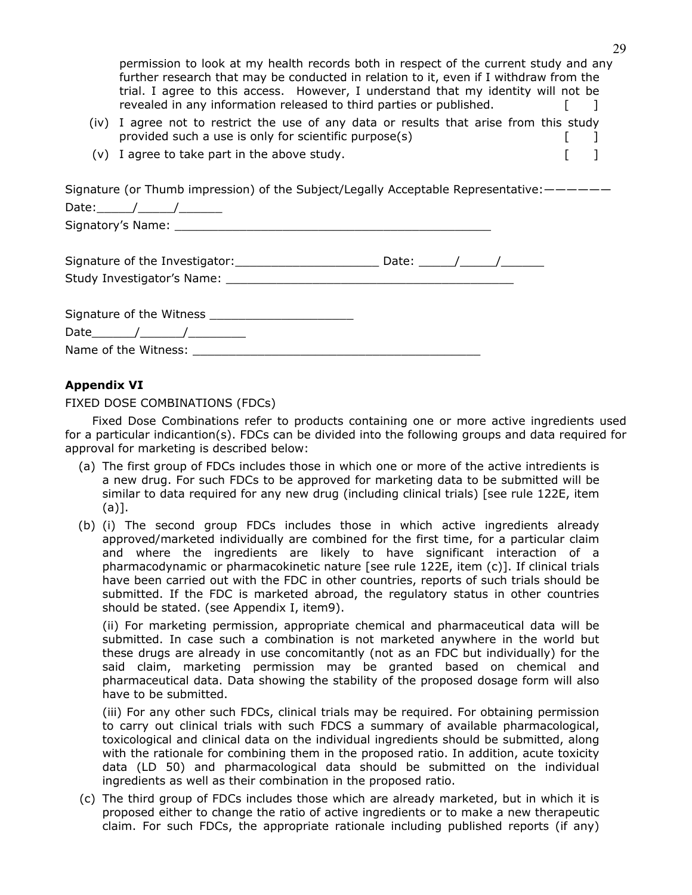permission to look at my health records both in respect of the current study and any further research that may be conducted in relation to it, even if I withdraw from the trial. I agree to this access. However, I understand that my identity will not be revealed in any information released to third parties or published.  $\begin{bmatrix} 1 \end{bmatrix}$ 

- (iv) I agree not to restrict the use of any data or results that arise from this study provided such a use is only for scientific purpose(s)  $\begin{bmatrix} 1 \end{bmatrix}$
- (v) I agree to take part in the above study.  $\begin{bmatrix} 1 \end{bmatrix}$

Signature (or Thumb impression) of the Subject/Legally Acceptable Representative:—————— Date:  $\frac{1}{\sqrt{2\pi}}$ Signatory's Name: \_\_\_\_\_\_\_\_\_\_\_\_\_\_\_\_\_\_\_\_\_\_\_\_\_\_\_\_\_\_\_\_\_\_\_\_\_\_\_\_\_\_\_\_

| Signature of the Investigator: | Date: |  |  |
|--------------------------------|-------|--|--|
| Study Investigator's Name:     |       |  |  |

| Signature of the Witness |  |
|--------------------------|--|
| Date                     |  |
| Name of the Witness:     |  |

## **Appendix VI**

FIXED DOSE COMBINATIONS (FDCs)

 Fixed Dose Combinations refer to products containing one or more active ingredients used for a particular indicantion(s). FDCs can be divided into the following groups and data required for approval for marketing is described below:

- (a) The first group of FDCs includes those in which one or more of the active intredients is a new drug. For such FDCs to be approved for marketing data to be submitted will be similar to data required for any new drug (including clinical trials) [see rule 122E, item (a)].
- (b) (i) The second group FDCs includes those in which active ingredients already approved/marketed individually are combined for the first time, for a particular claim and where the ingredients are likely to have significant interaction of a pharmacodynamic or pharmacokinetic nature [see rule 122E, item (c)]. If clinical trials have been carried out with the FDC in other countries, reports of such trials should be submitted. If the FDC is marketed abroad, the regulatory status in other countries should be stated. (see Appendix I, item9).

 (ii) For marketing permission, appropriate chemical and pharmaceutical data will be submitted. In case such a combination is not marketed anywhere in the world but these drugs are already in use concomitantly (not as an FDC but individually) for the said claim, marketing permission may be granted based on chemical and pharmaceutical data. Data showing the stability of the proposed dosage form will also have to be submitted.

 (iii) For any other such FDCs, clinical trials may be required. For obtaining permission to carry out clinical trials with such FDCS a summary of available pharmacological, toxicological and clinical data on the individual ingredients should be submitted, along with the rationale for combining them in the proposed ratio. In addition, acute toxicity data (LD 50) and pharmacological data should be submitted on the individual ingredients as well as their combination in the proposed ratio.

 (c) The third group of FDCs includes those which are already marketed, but in which it is proposed either to change the ratio of active ingredients or to make a new therapeutic claim. For such FDCs, the appropriate rationale including published reports (if any)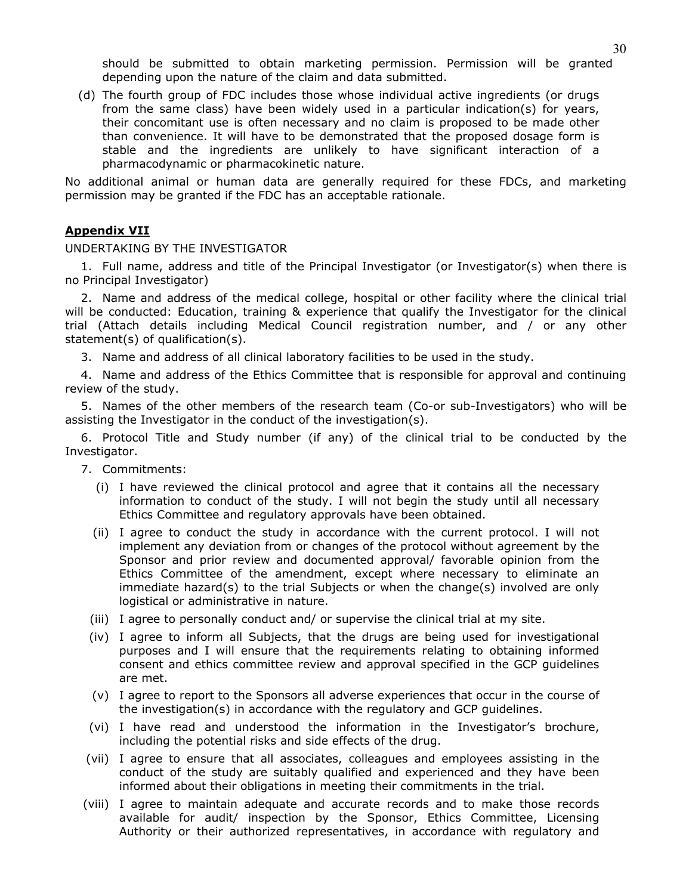should be submitted to obtain marketing permission. Permission will be granted depending upon the nature of the claim and data submitted.

 (d) The fourth group of FDC includes those whose individual active ingredients (or drugs from the same class) have been widely used in a particular indication(s) for years, their concomitant use is often necessary and no claim is proposed to be made other than convenience. It will have to be demonstrated that the proposed dosage form is stable and the ingredients are unlikely to have significant interaction of a pharmacodynamic or pharmacokinetic nature.

No additional animal or human data are generally required for these FDCs, and marketing permission may be granted if the FDC has an acceptable rationale.

## **Appendix VII**

#### UNDERTAKING BY THE INVESTIGATOR

 1. Full name, address and title of the Principal Investigator (or Investigator(s) when there is no Principal Investigator)

 2. Name and address of the medical college, hospital or other facility where the clinical trial will be conducted: Education, training & experience that qualify the Investigator for the clinical trial (Attach details including Medical Council registration number, and / or any other statement(s) of qualification(s).

3. Name and address of all clinical laboratory facilities to be used in the study.

 4. Name and address of the Ethics Committee that is responsible for approval and continuing review of the study.

 5. Names of the other members of the research team (Co-or sub-Investigators) who will be assisting the Investigator in the conduct of the investigation(s).

 6. Protocol Title and Study number (if any) of the clinical trial to be conducted by the Investigator.

7. Commitments:

- (i) I have reviewed the clinical protocol and agree that it contains all the necessary information to conduct of the study. I will not begin the study until all necessary Ethics Committee and regulatory approvals have been obtained.
- (ii) I agree to conduct the study in accordance with the current protocol. I will not implement any deviation from or changes of the protocol without agreement by the Sponsor and prior review and documented approval/ favorable opinion from the Ethics Committee of the amendment, except where necessary to eliminate an immediate hazard(s) to the trial Subjects or when the change(s) involved are only logistical or administrative in nature.
- (iii) I agree to personally conduct and/ or supervise the clinical trial at my site.
- (iv) I agree to inform all Subjects, that the drugs are being used for investigational purposes and I will ensure that the requirements relating to obtaining informed consent and ethics committee review and approval specified in the GCP guidelines are met.
- (v) I agree to report to the Sponsors all adverse experiences that occur in the course of the investigation(s) in accordance with the regulatory and GCP guidelines.
- (vi) I have read and understood the information in the Investigator's brochure, including the potential risks and side effects of the drug.
- (vii) I agree to ensure that all associates, colleagues and employees assisting in the conduct of the study are suitably qualified and experienced and they have been informed about their obligations in meeting their commitments in the trial.
- (viii) I agree to maintain adequate and accurate records and to make those records available for audit/ inspection by the Sponsor, Ethics Committee, Licensing Authority or their authorized representatives, in accordance with regulatory and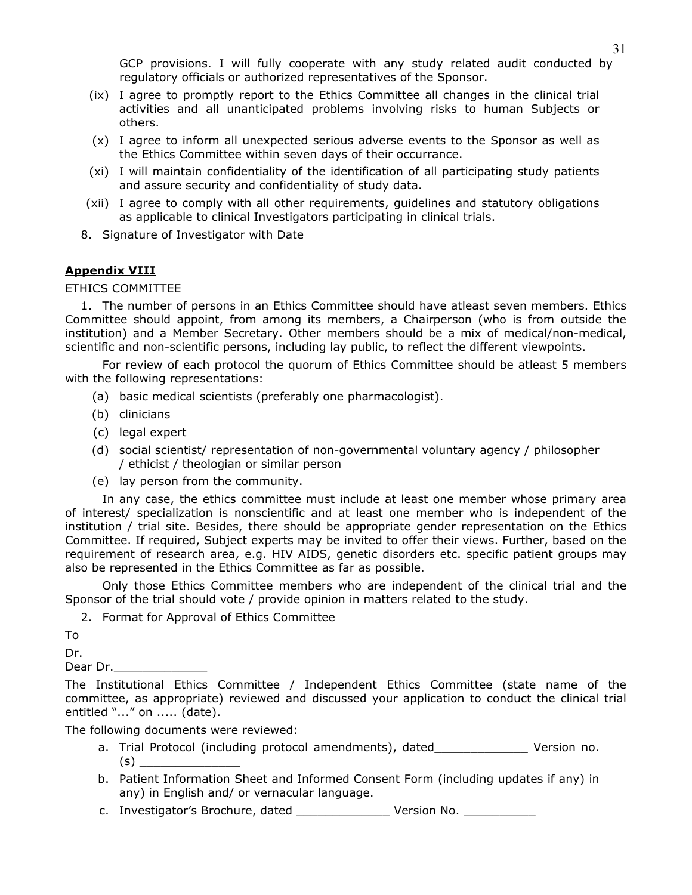GCP provisions. I will fully cooperate with any study related audit conducted by regulatory officials or authorized representatives of the Sponsor.

- (ix) I agree to promptly report to the Ethics Committee all changes in the clinical trial activities and all unanticipated problems involving risks to human Subjects or others.
- (x) I agree to inform all unexpected serious adverse events to the Sponsor as well as the Ethics Committee within seven days of their occurrance.
- (xi) I will maintain confidentiality of the identification of all participating study patients and assure security and confidentiality of study data.
- (xii) I agree to comply with all other requirements, guidelines and statutory obligations as applicable to clinical Investigators participating in clinical trials.
- 8. Signature of Investigator with Date

# **Appendix VIII**

## ETHICS COMMITTEE

 1. The number of persons in an Ethics Committee should have atleast seven members. Ethics Committee should appoint, from among its members, a Chairperson (who is from outside the institution) and a Member Secretary. Other members should be a mix of medical/non-medical, scientific and non-scientific persons, including lay public, to reflect the different viewpoints.

 For review of each protocol the quorum of Ethics Committee should be atleast 5 members with the following representations:

- (a) basic medical scientists (preferably one pharmacologist).
- (b) clinicians
- (c) legal expert
- (d) social scientist/ representation of non-governmental voluntary agency / philosopher / ethicist / theologian or similar person
- (e) lay person from the community.

 In any case, the ethics committee must include at least one member whose primary area of interest/ specialization is nonscientific and at least one member who is independent of the institution / trial site. Besides, there should be appropriate gender representation on the Ethics Committee. If required, Subject experts may be invited to offer their views. Further, based on the requirement of research area, e.g. HIV AIDS, genetic disorders etc. specific patient groups may also be represented in the Ethics Committee as far as possible.

 Only those Ethics Committee members who are independent of the clinical trial and the Sponsor of the trial should vote / provide opinion in matters related to the study.

2. Format for Approval of Ethics Committee

To

Dr.

Dear Dr.

The Institutional Ethics Committee / Independent Ethics Committee (state name of the committee, as appropriate) reviewed and discussed your application to conduct the clinical trial entitled "..." on ..... (date).

The following documents were reviewed:

- a. Trial Protocol (including protocol amendments), dated\_\_\_\_\_\_\_\_\_\_\_\_\_\_\_ Version no.  $(s)$
- b. Patient Information Sheet and Informed Consent Form (including updates if any) in any) in English and/ or vernacular language.
- c. Investigator's Brochure, dated example are version No.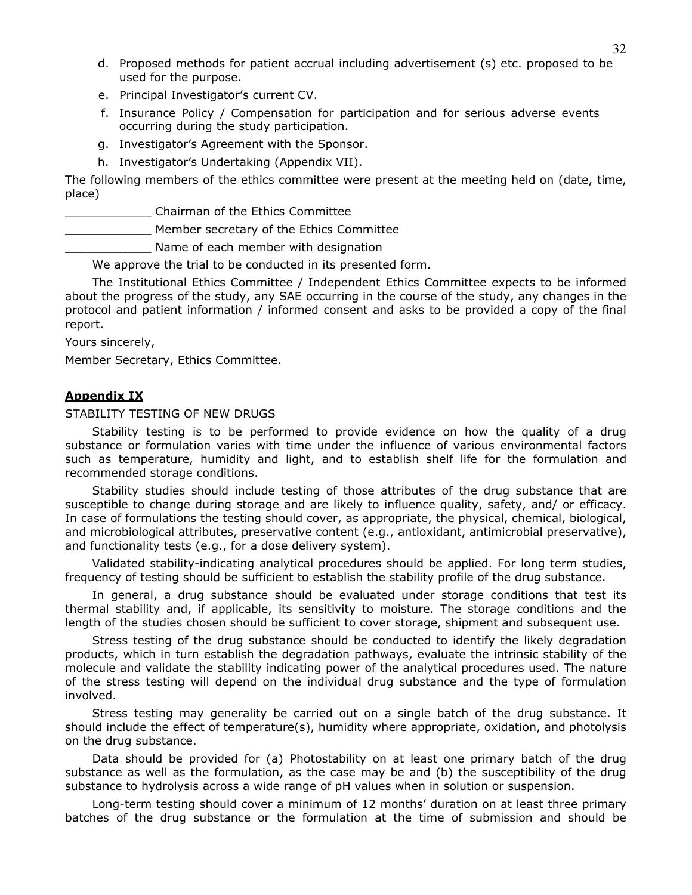- d. Proposed methods for patient accrual including advertisement (s) etc. proposed to be used for the purpose.
- e. Principal Investigator's current CV.
- f. Insurance Policy / Compensation for participation and for serious adverse events occurring during the study participation.
- g. Investigator's Agreement with the Sponsor.
- h. Investigator's Undertaking (Appendix VII).

The following members of the ethics committee were present at the meeting held on (date, time, place)

\_\_\_\_\_\_\_\_\_\_\_\_ Chairman of the Ethics Committee

\_\_\_\_\_\_\_\_\_\_\_\_ Member secretary of the Ethics Committee

Name of each member with designation

We approve the trial to be conducted in its presented form.

 The Institutional Ethics Committee / Independent Ethics Committee expects to be informed about the progress of the study, any SAE occurring in the course of the study, any changes in the protocol and patient information / informed consent and asks to be provided a copy of the final report.

Yours sincerely,

Member Secretary, Ethics Committee.

#### **Appendix IX**

STABILITY TESTING OF NEW DRUGS

 Stability testing is to be performed to provide evidence on how the quality of a drug substance or formulation varies with time under the influence of various environmental factors such as temperature, humidity and light, and to establish shelf life for the formulation and recommended storage conditions.

 Stability studies should include testing of those attributes of the drug substance that are susceptible to change during storage and are likely to influence quality, safety, and/ or efficacy. In case of formulations the testing should cover, as appropriate, the physical, chemical, biological, and microbiological attributes, preservative content (e.g., antioxidant, antimicrobial preservative), and functionality tests (e.g., for a dose delivery system).

 Validated stability-indicating analytical procedures should be applied. For long term studies, frequency of testing should be sufficient to establish the stability profile of the drug substance.

 In general, a drug substance should be evaluated under storage conditions that test its thermal stability and, if applicable, its sensitivity to moisture. The storage conditions and the length of the studies chosen should be sufficient to cover storage, shipment and subsequent use.

 Stress testing of the drug substance should be conducted to identify the likely degradation products, which in turn establish the degradation pathways, evaluate the intrinsic stability of the molecule and validate the stability indicating power of the analytical procedures used. The nature of the stress testing will depend on the individual drug substance and the type of formulation involved.

 Stress testing may generality be carried out on a single batch of the drug substance. It should include the effect of temperature(s), humidity where appropriate, oxidation, and photolysis on the drug substance.

 Data should be provided for (a) Photostability on at least one primary batch of the drug substance as well as the formulation, as the case may be and (b) the susceptibility of the drug substance to hydrolysis across a wide range of pH values when in solution or suspension.

 Long-term testing should cover a minimum of 12 months' duration on at least three primary batches of the drug substance or the formulation at the time of submission and should be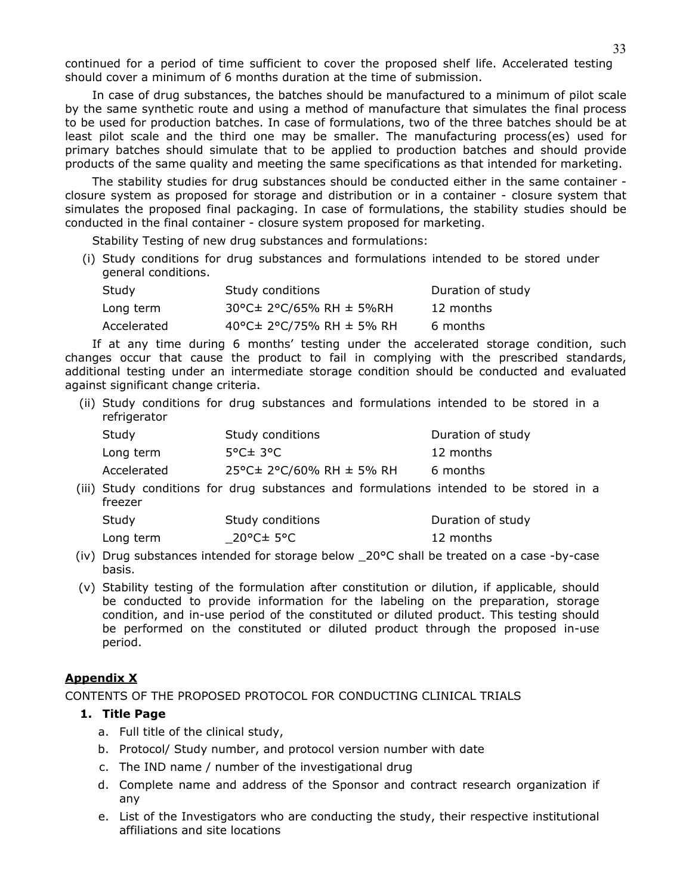continued for a period of time sufficient to cover the proposed shelf life. Accelerated testing should cover a minimum of 6 months duration at the time of submission.

 In case of drug substances, the batches should be manufactured to a minimum of pilot scale by the same synthetic route and using a method of manufacture that simulates the final process to be used for production batches. In case of formulations, two of the three batches should be at least pilot scale and the third one may be smaller. The manufacturing process(es) used for primary batches should simulate that to be applied to production batches and should provide products of the same quality and meeting the same specifications as that intended for marketing.

 The stability studies for drug substances should be conducted either in the same container closure system as proposed for storage and distribution or in a container - closure system that simulates the proposed final packaging. In case of formulations, the stability studies should be conducted in the final container - closure system proposed for marketing.

Stability Testing of new drug substances and formulations:

 (i) Study conditions for drug substances and formulations intended to be stored under general conditions.

| Study       | Study conditions                  | Duration of study |
|-------------|-----------------------------------|-------------------|
| Long term   | 30°C± 2°C/65% RH ± 5%RH           | 12 months         |
| Accelerated | 40°C $\pm$ 2°C/75% RH $\pm$ 5% RH | 6 months          |

 If at any time during 6 months' testing under the accelerated storage condition, such changes occur that cause the product to fail in complying with the prescribed standards, additional testing under an intermediate storage condition should be conducted and evaluated against significant change criteria.

 (ii) Study conditions for drug substances and formulations intended to be stored in a refrigerator

| Study       | Study conditions                       | Duration of study |
|-------------|----------------------------------------|-------------------|
| Long term   | $5^{\circ}$ C $\pm$ 3°C $\overline{ }$ | 12 months         |
| Accelerated | 25°C± 2°C/60% RH ± 5% RH               | 6 months          |

 (iii) Study conditions for drug substances and formulations intended to be stored in a freezer

| Study     | Study conditions | Duration of study |
|-----------|------------------|-------------------|
| Long term | 20°C± 5°C        | 12 months         |

- (iv) Drug substances intended for storage below  $\angle 20^{\circ}$ C shall be treated on a case -by-case basis.
- (v) Stability testing of the formulation after constitution or dilution, if applicable, should be conducted to provide information for the labeling on the preparation, storage condition, and in-use period of the constituted or diluted product. This testing should be performed on the constituted or diluted product through the proposed in-use period.

## **Appendix X**

CONTENTS OF THE PROPOSED PROTOCOL FOR CONDUCTING CLINICAL TRIALS

## **1. Title Page**

- a. Full title of the clinical study,
- b. Protocol/ Study number, and protocol version number with date
- c. The IND name / number of the investigational drug
- d. Complete name and address of the Sponsor and contract research organization if any
- e. List of the Investigators who are conducting the study, their respective institutional affiliations and site locations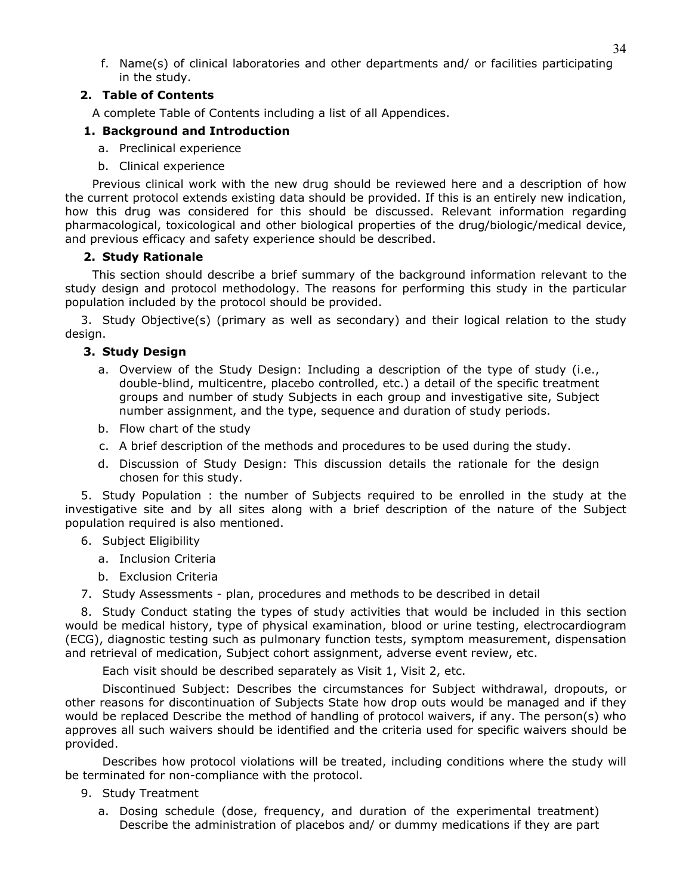f. Name(s) of clinical laboratories and other departments and/ or facilities participating in the study.

## **2. Table of Contents**

A complete Table of Contents including a list of all Appendices.

# **1. Background and Introduction**

- a. Preclinical experience
- b. Clinical experience

 Previous clinical work with the new drug should be reviewed here and a description of how the current protocol extends existing data should be provided. If this is an entirely new indication, how this drug was considered for this should be discussed. Relevant information regarding pharmacological, toxicological and other biological properties of the drug/biologic/medical device, and previous efficacy and safety experience should be described.

## **2. Study Rationale**

 This section should describe a brief summary of the background information relevant to the study design and protocol methodology. The reasons for performing this study in the particular population included by the protocol should be provided.

 3. Study Objective(s) (primary as well as secondary) and their logical relation to the study design.

# **3. Study Design**

- a. Overview of the Study Design: Including a description of the type of study (i.e., double-blind, multicentre, placebo controlled, etc.) a detail of the specific treatment groups and number of study Subjects in each group and investigative site, Subject number assignment, and the type, sequence and duration of study periods.
- b. Flow chart of the study
- c. A brief description of the methods and procedures to be used during the study.
- d. Discussion of Study Design: This discussion details the rationale for the design chosen for this study.

 5. Study Population : the number of Subjects required to be enrolled in the study at the investigative site and by all sites along with a brief description of the nature of the Subject population required is also mentioned.

- 6. Subject Eligibility
	- a. Inclusion Criteria
	- b. Exclusion Criteria
- 7. Study Assessments plan, procedures and methods to be described in detail

 8. Study Conduct stating the types of study activities that would be included in this section would be medical history, type of physical examination, blood or urine testing, electrocardiogram (ECG), diagnostic testing such as pulmonary function tests, symptom measurement, dispensation and retrieval of medication, Subject cohort assignment, adverse event review, etc.

Each visit should be described separately as Visit 1, Visit 2, etc.

 Discontinued Subject: Describes the circumstances for Subject withdrawal, dropouts, or other reasons for discontinuation of Subjects State how drop outs would be managed and if they would be replaced Describe the method of handling of protocol waivers, if any. The person(s) who approves all such waivers should be identified and the criteria used for specific waivers should be provided.

 Describes how protocol violations will be treated, including conditions where the study will be terminated for non-compliance with the protocol.

- 9. Study Treatment
	- a. Dosing schedule (dose, frequency, and duration of the experimental treatment) Describe the administration of placebos and/ or dummy medications if they are part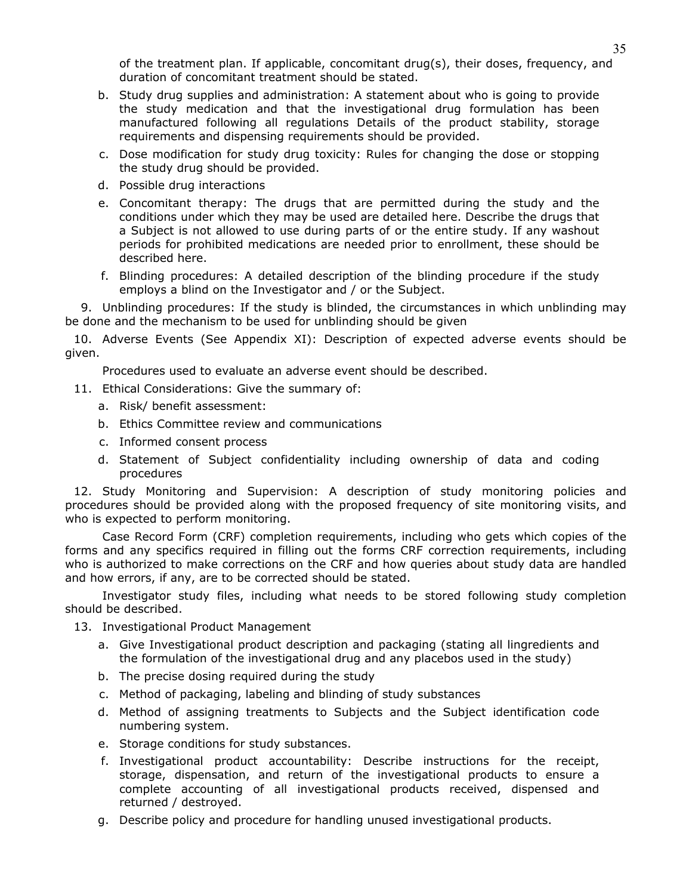of the treatment plan. If applicable, concomitant drug(s), their doses, frequency, and duration of concomitant treatment should be stated.

- b. Study drug supplies and administration: A statement about who is going to provide the study medication and that the investigational drug formulation has been manufactured following all regulations Details of the product stability, storage requirements and dispensing requirements should be provided.
- c. Dose modification for study drug toxicity: Rules for changing the dose or stopping the study drug should be provided.
- d. Possible drug interactions
- e. Concomitant therapy: The drugs that are permitted during the study and the conditions under which they may be used are detailed here. Describe the drugs that a Subject is not allowed to use during parts of or the entire study. If any washout periods for prohibited medications are needed prior to enrollment, these should be described here.
- f. Blinding procedures: A detailed description of the blinding procedure if the study employs a blind on the Investigator and / or the Subject.

 9. Unblinding procedures: If the study is blinded, the circumstances in which unblinding may be done and the mechanism to be used for unblinding should be given

 10. Adverse Events (See Appendix XI): Description of expected adverse events should be given.

Procedures used to evaluate an adverse event should be described.

- 11. Ethical Considerations: Give the summary of:
	- a. Risk/ benefit assessment:
	- b. Ethics Committee review and communications
	- c. Informed consent process
	- d. Statement of Subject confidentiality including ownership of data and coding procedures

 12. Study Monitoring and Supervision: A description of study monitoring policies and procedures should be provided along with the proposed frequency of site monitoring visits, and who is expected to perform monitoring.

 Case Record Form (CRF) completion requirements, including who gets which copies of the forms and any specifics required in filling out the forms CRF correction requirements, including who is authorized to make corrections on the CRF and how queries about study data are handled and how errors, if any, are to be corrected should be stated.

 Investigator study files, including what needs to be stored following study completion should be described.

- 13. Investigational Product Management
	- a. Give Investigational product description and packaging (stating all lingredients and the formulation of the investigational drug and any placebos used in the study)
	- b. The precise dosing required during the study
	- c. Method of packaging, labeling and blinding of study substances
	- d. Method of assigning treatments to Subjects and the Subject identification code numbering system.
	- e. Storage conditions for study substances.
	- f. Investigational product accountability: Describe instructions for the receipt, storage, dispensation, and return of the investigational products to ensure a complete accounting of all investigational products received, dispensed and returned / destroyed.
	- g. Describe policy and procedure for handling unused investigational products.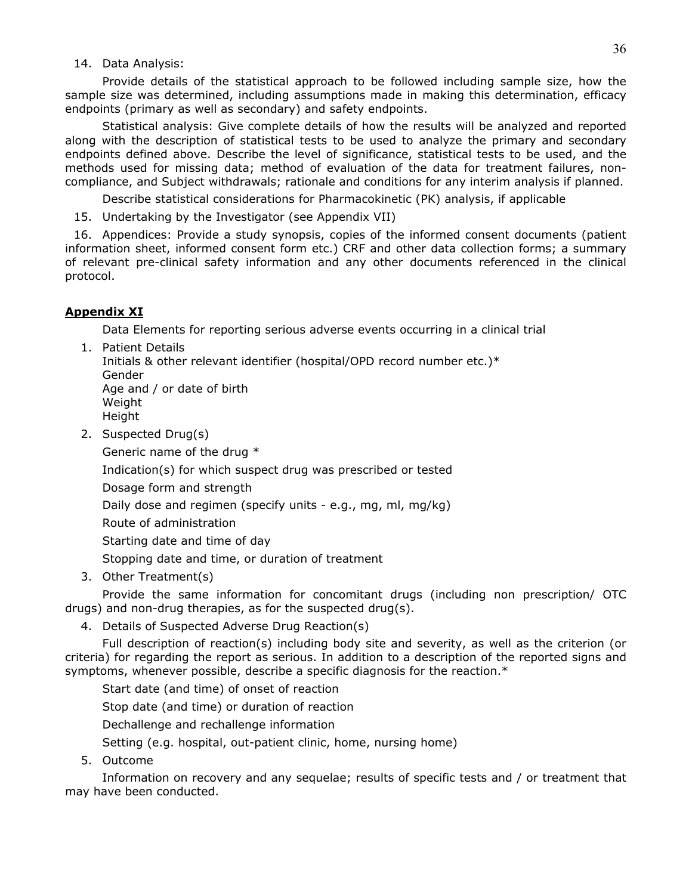## 14. Data Analysis:

 Provide details of the statistical approach to be followed including sample size, how the sample size was determined, including assumptions made in making this determination, efficacy endpoints (primary as well as secondary) and safety endpoints.

 Statistical analysis: Give complete details of how the results will be analyzed and reported along with the description of statistical tests to be used to analyze the primary and secondary endpoints defined above. Describe the level of significance, statistical tests to be used, and the methods used for missing data; method of evaluation of the data for treatment failures, noncompliance, and Subject withdrawals; rationale and conditions for any interim analysis if planned.

Describe statistical considerations for Pharmacokinetic (PK) analysis, if applicable

15. Undertaking by the Investigator (see Appendix VII)

 16. Appendices: Provide a study synopsis, copies of the informed consent documents (patient information sheet, informed consent form etc.) CRF and other data collection forms; a summary of relevant pre-clinical safety information and any other documents referenced in the clinical protocol.

# **Appendix XI**

Data Elements for reporting serious adverse events occurring in a clinical trial

1. Patient Details

 Initials & other relevant identifier (hospital/OPD record number etc.)\* Gender Age and / or date of birth Weight Height

2. Suspected Drug(s)

Generic name of the drug \*

Indication(s) for which suspect drug was prescribed or tested

Dosage form and strength

Daily dose and regimen (specify units - e.g., mg, ml, mg/kg)

Route of administration

Starting date and time of day

Stopping date and time, or duration of treatment

3. Other Treatment(s)

 Provide the same information for concomitant drugs (including non prescription/ OTC drugs) and non-drug therapies, as for the suspected drug(s).

4. Details of Suspected Adverse Drug Reaction(s)

 Full description of reaction(s) including body site and severity, as well as the criterion (or criteria) for regarding the report as serious. In addition to a description of the reported signs and symptoms, whenever possible, describe a specific diagnosis for the reaction.\*

 Start date (and time) of onset of reaction Stop date (and time) or duration of reaction

Dechallenge and rechallenge information

- Setting (e.g. hospital, out-patient clinic, home, nursing home)
- 5. Outcome

 Information on recovery and any sequelae; results of specific tests and / or treatment that may have been conducted.